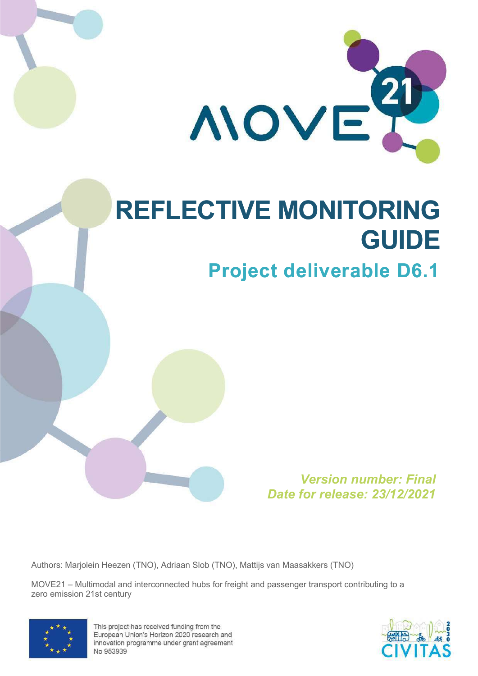

# REFLECTIVE MONITORING GUIDE

# Project deliverable D6.1

Version number: Final Date for release: 23/12/2021

Authors: Marjolein Heezen (TNO), Adriaan Slob (TNO), Mattijs van Maasakkers (TNO)

MOVE21 – Multimodal and interconnected hubs for freight and passenger transport contributing to a zero emission 21st century



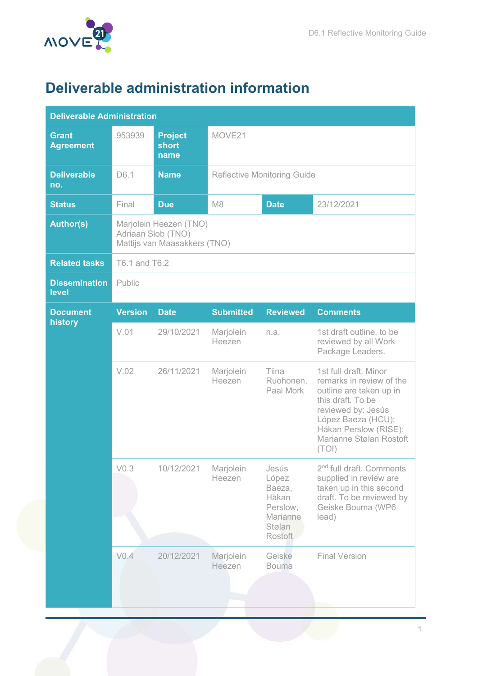

# Deliverable administration information

| <b>Deliverable Administration</b> |                                                                              |                                 |                                    |                                                                                |                                                                                                                                                                                                            |  |  |  |  |  |  |
|-----------------------------------|------------------------------------------------------------------------------|---------------------------------|------------------------------------|--------------------------------------------------------------------------------|------------------------------------------------------------------------------------------------------------------------------------------------------------------------------------------------------------|--|--|--|--|--|--|
| Grant<br><b>Agreement</b>         | 953939                                                                       | <b>Project</b><br>short<br>name | MOVE21                             |                                                                                |                                                                                                                                                                                                            |  |  |  |  |  |  |
| <b>Deliverable</b><br>no.         | D6.1                                                                         | <b>Name</b>                     | <b>Reflective Monitoring Guide</b> |                                                                                |                                                                                                                                                                                                            |  |  |  |  |  |  |
| <b>Status</b>                     | Final                                                                        | <b>Due</b>                      | M <sub>8</sub>                     | <b>Date</b>                                                                    | 23/12/2021                                                                                                                                                                                                 |  |  |  |  |  |  |
| <b>Author(s)</b>                  | Marjolein Heezen (TNO)<br>Adriaan Slob (TNO)<br>Mattijs van Maasakkers (TNO) |                                 |                                    |                                                                                |                                                                                                                                                                                                            |  |  |  |  |  |  |
| <b>Related tasks</b>              | T6.1 and T6.2                                                                |                                 |                                    |                                                                                |                                                                                                                                                                                                            |  |  |  |  |  |  |
| <b>Dissemination</b><br>level     | Public                                                                       |                                 |                                    |                                                                                |                                                                                                                                                                                                            |  |  |  |  |  |  |
| <b>Document</b>                   | <b>Version</b>                                                               | <b>Date</b>                     | <b>Submitted</b>                   | <b>Reviewed</b>                                                                | <b>Comments</b>                                                                                                                                                                                            |  |  |  |  |  |  |
| history                           | V.01                                                                         | 29/10/2021                      | Marjolein<br>Heezen                | n.a.                                                                           | 1st draft outline, to be<br>reviewed by all Work<br>Package Leaders.                                                                                                                                       |  |  |  |  |  |  |
|                                   | V.02                                                                         | 26/11/2021                      | Marjolein<br>Heezen                | Tiina<br>Ruohonen,<br>Paal Mork                                                | 1st full draft. Minor<br>remarks in review of the<br>outline are taken up in<br>this draft. To be<br>reviewed by: Jesús<br>López Baeza (HCU);<br>Håkan Perslow (RISE);<br>Marianne Stølan Rostoft<br>(TOI) |  |  |  |  |  |  |
|                                   | V <sub>0.3</sub>                                                             | 10/12/2021                      | Marjolein<br>Heezen                | Jesús<br>López<br>Baeza,<br>Håkan<br>Perslow,<br>Marianne<br>Stølan<br>Rostoft | 2 <sup>nd</sup> full draft. Comments<br>supplied in review are<br>taken up in this second<br>draft. To be reviewed by<br>Geiske Bouma (WP6<br>lead)                                                        |  |  |  |  |  |  |
|                                   | V <sub>0.4</sub>                                                             | 20/12/2021                      | Marjolein<br>Heezen                | Geiske<br><b>Bouma</b>                                                         | <b>Final Version</b>                                                                                                                                                                                       |  |  |  |  |  |  |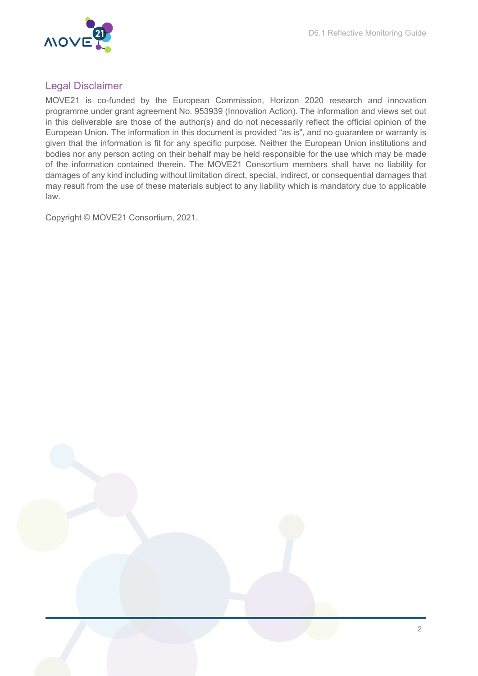

# Legal Disclaimer

MOVE21 is co-funded by the European Commission, Horizon 2020 research and innovation programme under grant agreement No. 953939 (Innovation Action). The information and views set out in this deliverable are those of the author(s) and do not necessarily reflect the official opinion of the European Union. The information in this document is provided "as is", and no guarantee or warranty is given that the information is fit for any specific purpose. Neither the European Union institutions and bodies nor any person acting on their behalf may be held responsible for the use which may be made of the information contained therein. The MOVE21 Consortium members shall have no liability for damages of any kind including without limitation direct, special, indirect, or consequential damages that may result from the use of these materials subject to any liability which is mandatory due to applicable law.

Copyright © MOVE21 Consortium, 2021.

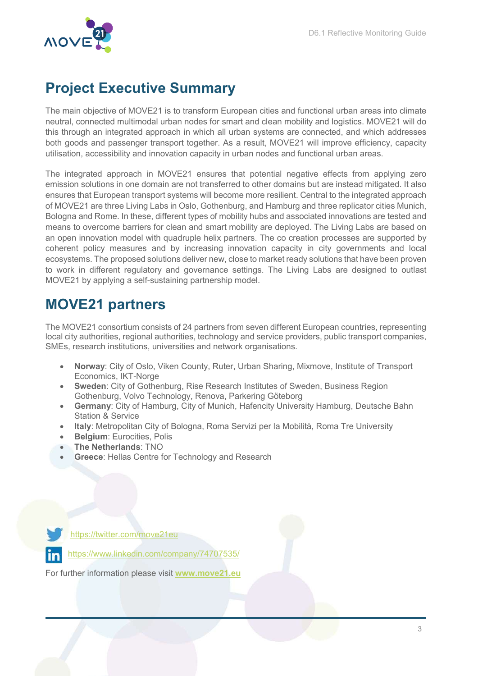

# Project Executive Summary

The main objective of MOVE21 is to transform European cities and functional urban areas into climate neutral, connected multimodal urban nodes for smart and clean mobility and logistics. MOVE21 will do this through an integrated approach in which all urban systems are connected, and which addresses both goods and passenger transport together. As a result, MOVE21 will improve efficiency, capacity utilisation, accessibility and innovation capacity in urban nodes and functional urban areas.

The integrated approach in MOVE21 ensures that potential negative effects from applying zero emission solutions in one domain are not transferred to other domains but are instead mitigated. It also ensures that European transport systems will become more resilient. Central to the integrated approach of MOVE21 are three Living Labs in Oslo, Gothenburg, and Hamburg and three replicator cities Munich, Bologna and Rome. In these, different types of mobility hubs and associated innovations are tested and means to overcome barriers for clean and smart mobility are deployed. The Living Labs are based on an open innovation model with quadruple helix partners. The co creation processes are supported by coherent policy measures and by increasing innovation capacity in city governments and local ecosystems. The proposed solutions deliver new, close to market ready solutions that have been proven to work in different regulatory and governance settings. The Living Labs are designed to outlast MOVE21 by applying a self-sustaining partnership model.

# MOVE21 partners

The MOVE21 consortium consists of 24 partners from seven different European countries, representing local city authorities, regional authorities, technology and service providers, public transport companies, SMEs, research institutions, universities and network organisations.

- Norway: City of Oslo, Viken County, Ruter, Urban Sharing, Mixmove, Institute of Transport Economics, IKT-Norge
- Sweden: City of Gothenburg, Rise Research Institutes of Sweden, Business Region Gothenburg, Volvo Technology, Renova, Parkering Göteborg
- Germany: City of Hamburg, City of Munich, Hafencity University Hamburg, Deutsche Bahn Station & Service
- Italy: Metropolitan City of Bologna, Roma Servizi per la Mobilità, Roma Tre University
- Belgium: Eurocities, Polis
- The Netherlands: TNO
- Greece: Hellas Centre for Technology and Research

https://twitter.com/move21eu https://www.linkedin.com/company/74707535/

For further information please visit www.move21.eu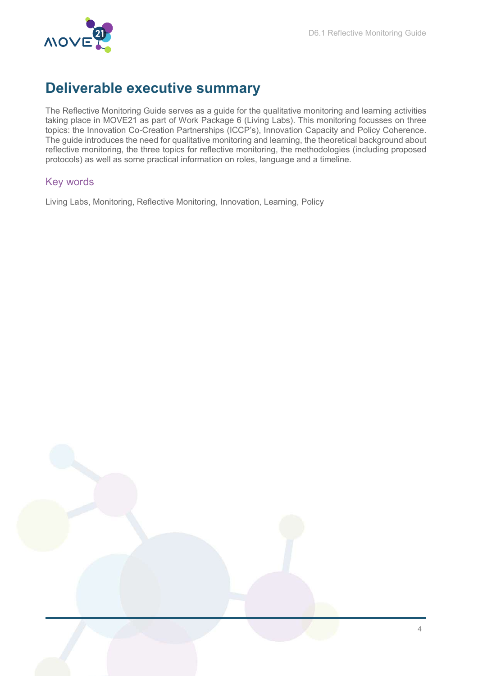

# Deliverable executive summary

The Reflective Monitoring Guide serves as a guide for the qualitative monitoring and learning activities taking place in MOVE21 as part of Work Package 6 (Living Labs). This monitoring focusses on three topics: the Innovation Co-Creation Partnerships (ICCP's), Innovation Capacity and Policy Coherence. The guide introduces the need for qualitative monitoring and learning, the theoretical background about reflective monitoring, the three topics for reflective monitoring, the methodologies (including proposed protocols) as well as some practical information on roles, language and a timeline.

# Key words

Living Labs, Monitoring, Reflective Monitoring, Innovation, Learning, Policy

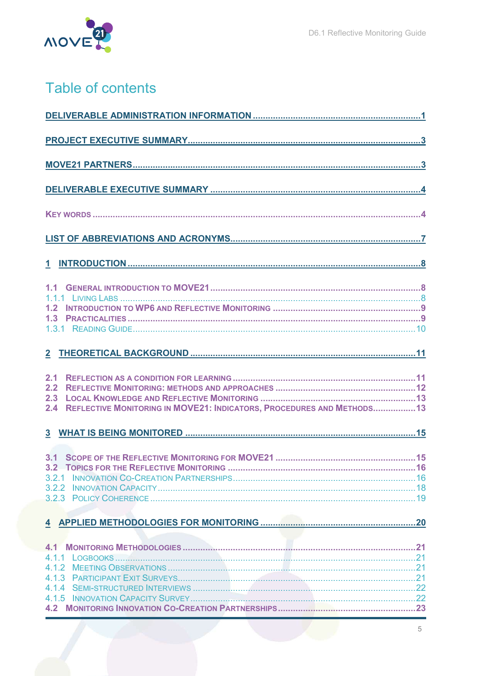

# Table of contents

| 2.1<br>2.2<br>2.3<br>REFLECTIVE MONITORING IN MOVE21: INDICATORS, PROCEDURES AND METHODS13<br>2.4 |
|---------------------------------------------------------------------------------------------------|
|                                                                                                   |
|                                                                                                   |
|                                                                                                   |
|                                                                                                   |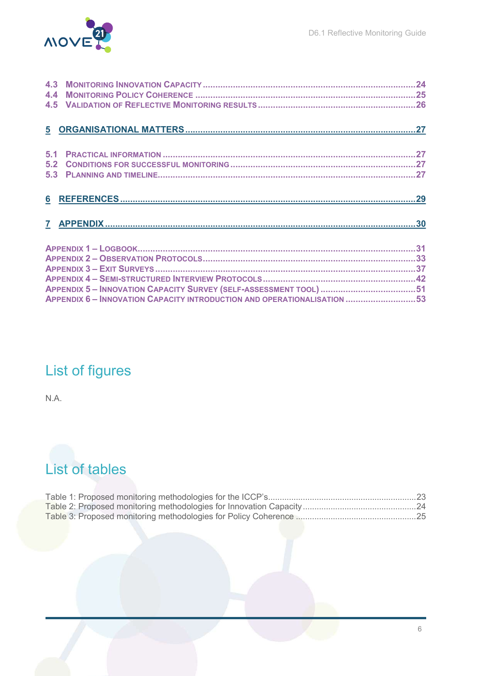

# List of figures

N.A.

# List of tables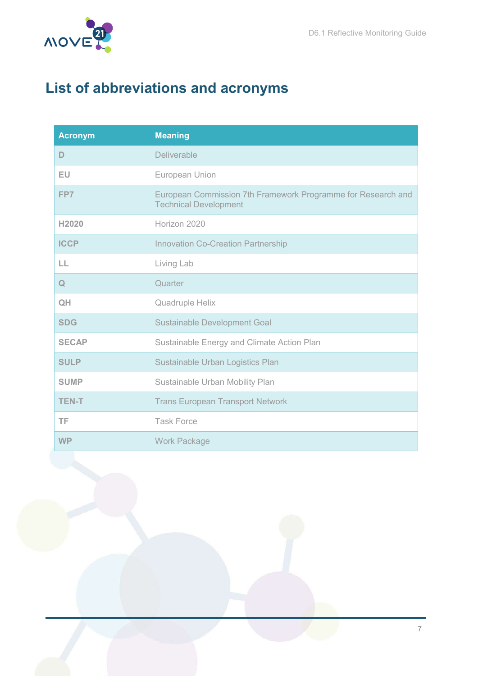

# List of abbreviations and acronyms

| <b>Acronym</b> | <b>Meaning</b>                                                                               |
|----------------|----------------------------------------------------------------------------------------------|
| D              | Deliverable                                                                                  |
| EU             | European Union                                                                               |
| FP7            | European Commission 7th Framework Programme for Research and<br><b>Technical Development</b> |
| H2020          | Horizon 2020                                                                                 |
| <b>ICCP</b>    | <b>Innovation Co-Creation Partnership</b>                                                    |
| LL             | Living Lab                                                                                   |
| $\mathbf Q$    | Quarter                                                                                      |
| QH             | Quadruple Helix                                                                              |
| <b>SDG</b>     | <b>Sustainable Development Goal</b>                                                          |
| <b>SECAP</b>   | Sustainable Energy and Climate Action Plan                                                   |
| <b>SULP</b>    | Sustainable Urban Logistics Plan                                                             |
| <b>SUMP</b>    | Sustainable Urban Mobility Plan                                                              |
| <b>TEN-T</b>   | <b>Trans European Transport Network</b>                                                      |
| TF             | <b>Task Force</b>                                                                            |
| <b>WP</b>      | <b>Work Package</b>                                                                          |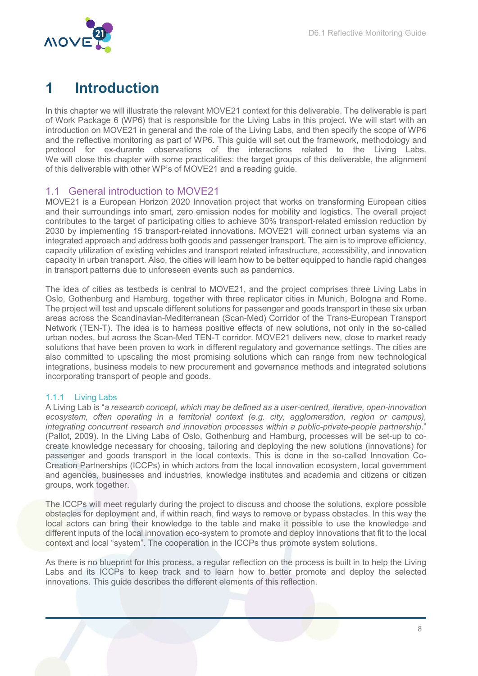

# 1 Introduction

In this chapter we will illustrate the relevant MOVE21 context for this deliverable. The deliverable is part of Work Package 6 (WP6) that is responsible for the Living Labs in this project. We will start with an introduction on MOVE21 in general and the role of the Living Labs, and then specify the scope of WP6 and the reflective monitoring as part of WP6. This guide will set out the framework, methodology and protocol for ex-durante observations of the interactions related to the Living Labs. We will close this chapter with some practicalities: the target groups of this deliverable, the alignment of this deliverable with other WP's of MOVE21 and a reading guide.

# 1.1 General introduction to MOVE21

MOVE21 is a European Horizon 2020 Innovation project that works on transforming European cities and their surroundings into smart, zero emission nodes for mobility and logistics. The overall project contributes to the target of participating cities to achieve 30% transport-related emission reduction by 2030 by implementing 15 transport-related innovations. MOVE21 will connect urban systems via an integrated approach and address both goods and passenger transport. The aim is to improve efficiency, capacity utilization of existing vehicles and transport related infrastructure, accessibility, and innovation capacity in urban transport. Also, the cities will learn how to be better equipped to handle rapid changes in transport patterns due to unforeseen events such as pandemics.

The idea of cities as testbeds is central to MOVE21, and the project comprises three Living Labs in Oslo, Gothenburg and Hamburg, together with three replicator cities in Munich, Bologna and Rome. The project will test and upscale different solutions for passenger and goods transport in these six urban areas across the Scandinavian-Mediterranean (Scan-Med) Corridor of the Trans-European Transport Network (TEN-T). The idea is to harness positive effects of new solutions, not only in the so-called urban nodes, but across the Scan-Med TEN-T corridor. MOVE21 delivers new, close to market ready solutions that have been proven to work in different regulatory and governance settings. The cities are also committed to upscaling the most promising solutions which can range from new technological integrations, business models to new procurement and governance methods and integrated solutions incorporating transport of people and goods.

#### 1.1.1 Living Labs

A Living Lab is "a research concept, which may be defined as a user-centred, iterative, open-innovation ecosystem, often operating in a territorial context (e.g. city, agglomeration, region or campus), integrating concurrent research and innovation processes within a public-private-people partnership." (Pallot, 2009). In the Living Labs of Oslo, Gothenburg and Hamburg, processes will be set-up to cocreate knowledge necessary for choosing, tailoring and deploying the new solutions (innovations) for passenger and goods transport in the local contexts. This is done in the so-called Innovation Co-Creation Partnerships (ICCPs) in which actors from the local innovation ecosystem, local government and agencies, businesses and industries, knowledge institutes and academia and citizens or citizen groups, work together.

The ICCPs will meet regularly during the project to discuss and choose the solutions, explore possible obstacles for deployment and, if within reach, find ways to remove or bypass obstacles. In this way the local actors can bring their knowledge to the table and make it possible to use the knowledge and different inputs of the local innovation eco-system to promote and deploy innovations that fit to the local context and local "system". The cooperation in the ICCPs thus promote system solutions.

As there is no blueprint for this process, a regular reflection on the process is built in to help the Living Labs and its ICCPs to keep track and to learn how to better promote and deploy the selected innovations. This guide describes the different elements of this reflection.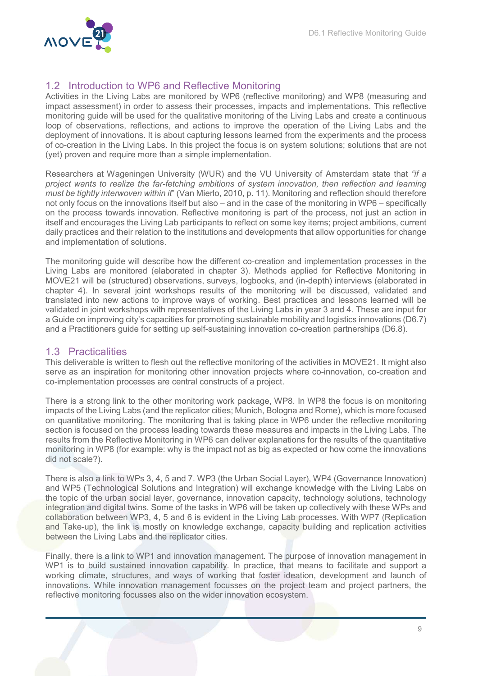

# 1.2 Introduction to WP6 and Reflective Monitoring

Activities in the Living Labs are monitored by WP6 (reflective monitoring) and WP8 (measuring and impact assessment) in order to assess their processes, impacts and implementations. This reflective monitoring guide will be used for the qualitative monitoring of the Living Labs and create a continuous loop of observations, reflections, and actions to improve the operation of the Living Labs and the deployment of innovations. It is about capturing lessons learned from the experiments and the process of co-creation in the Living Labs. In this project the focus is on system solutions; solutions that are not (yet) proven and require more than a simple implementation.

Researchers at Wageningen University (WUR) and the VU University of Amsterdam state that "if a project wants to realize the far-fetching ambitions of system innovation, then reflection and learning must be tightly interwoven within it" (Van Mierlo, 2010, p. 11). Monitoring and reflection should therefore not only focus on the innovations itself but also – and in the case of the monitoring in WP6 – specifically on the process towards innovation. Reflective monitoring is part of the process, not just an action in itself and encourages the Living Lab participants to reflect on some key items; project ambitions, current daily practices and their relation to the institutions and developments that allow opportunities for change and implementation of solutions.

The monitoring guide will describe how the different co-creation and implementation processes in the Living Labs are monitored (elaborated in chapter 3). Methods applied for Reflective Monitoring in MOVE21 will be (structured) observations, surveys, logbooks, and (in-depth) interviews (elaborated in chapter 4). In several joint workshops results of the monitoring will be discussed, validated and translated into new actions to improve ways of working. Best practices and lessons learned will be validated in joint workshops with representatives of the Living Labs in year 3 and 4. These are input for a Guide on improving city's capacities for promoting sustainable mobility and logistics innovations (D6.7) and a Practitioners guide for setting up self-sustaining innovation co-creation partnerships (D6.8).

# 1.3 Practicalities

This deliverable is written to flesh out the reflective monitoring of the activities in MOVE21. It might also serve as an inspiration for monitoring other innovation projects where co-innovation, co-creation and co-implementation processes are central constructs of a project.

There is a strong link to the other monitoring work package, WP8. In WP8 the focus is on monitoring impacts of the Living Labs (and the replicator cities; Munich, Bologna and Rome), which is more focused on quantitative monitoring. The monitoring that is taking place in WP6 under the reflective monitoring section is focused on the process leading towards these measures and impacts in the Living Labs. The results from the Reflective Monitoring in WP6 can deliver explanations for the results of the quantitative monitoring in WP8 (for example: why is the impact not as big as expected or how come the innovations did not scale?).

There is also a link to WPs 3, 4, 5 and 7. WP3 (the Urban Social Layer), WP4 (Governance Innovation) and WP5 (Technological Solutions and Integration) will exchange knowledge with the Living Labs on the topic of the urban social layer, governance, innovation capacity, technology solutions, technology integration and digital twins. Some of the tasks in WP6 will be taken up collectively with these WPs and collaboration between WP3, 4, 5 and 6 is evident in the Living Lab processes. With WP7 (Replication and Take-up), the link is mostly on knowledge exchange, capacity building and replication activities between the Living Labs and the replicator cities.

Finally, there is a link to WP1 and innovation management. The purpose of innovation management in WP1 is to build sustained innovation capability. In practice, that means to facilitate and support a working climate, structures, and ways of working that foster ideation, development and launch of innovations. While innovation management focusses on the project team and project partners, the reflective monitoring focusses also on the wider innovation ecosystem.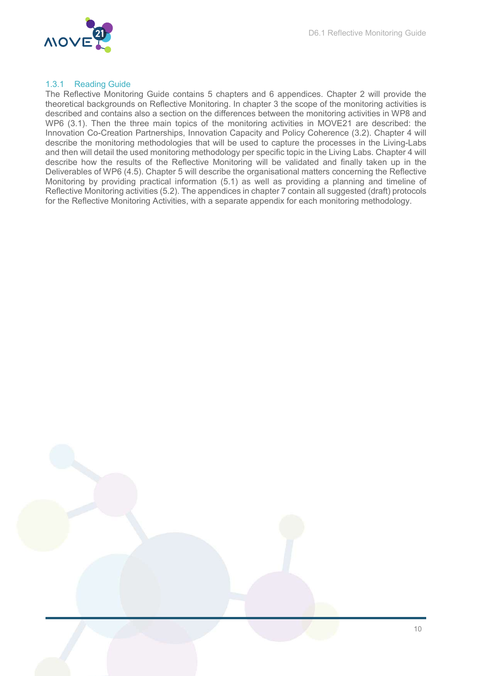

#### 1.3.1 Reading Guide

The Reflective Monitoring Guide contains 5 chapters and 6 appendices. Chapter 2 will provide the theoretical backgrounds on Reflective Monitoring. In chapter 3 the scope of the monitoring activities is described and contains also a section on the differences between the monitoring activities in WP8 and WP6 (3.1). Then the three main topics of the monitoring activities in MOVE21 are described: the Innovation Co-Creation Partnerships, Innovation Capacity and Policy Coherence (3.2). Chapter 4 will describe the monitoring methodologies that will be used to capture the processes in the Living-Labs and then will detail the used monitoring methodology per specific topic in the Living Labs. Chapter 4 will describe how the results of the Reflective Monitoring will be validated and finally taken up in the Deliverables of WP6 (4.5). Chapter 5 will describe the organisational matters concerning the Reflective Monitoring by providing practical information (5.1) as well as providing a planning and timeline of Reflective Monitoring activities (5.2). The appendices in chapter 7 contain all suggested (draft) protocols for the Reflective Monitoring Activities, with a separate appendix for each monitoring methodology.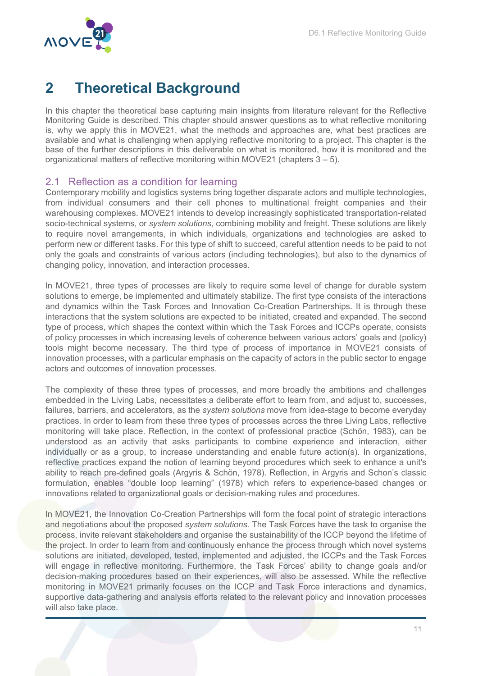

# 2 Theoretical Background

In this chapter the theoretical base capturing main insights from literature relevant for the Reflective Monitoring Guide is described. This chapter should answer questions as to what reflective monitoring is, why we apply this in MOVE21, what the methods and approaches are, what best practices are available and what is challenging when applying reflective monitoring to a project. This chapter is the base of the further descriptions in this deliverable on what is monitored, how it is monitored and the organizational matters of reflective monitoring within MOVE21 (chapters  $3 - 5$ ).

### 2.1 Reflection as a condition for learning

Contemporary mobility and logistics systems bring together disparate actors and multiple technologies, from individual consumers and their cell phones to multinational freight companies and their warehousing complexes. MOVE21 intends to develop increasingly sophisticated transportation-related socio-technical systems, or system solutions, combining mobility and freight. These solutions are likely to require novel arrangements, in which individuals, organizations and technologies are asked to perform new or different tasks. For this type of shift to succeed, careful attention needs to be paid to not only the goals and constraints of various actors (including technologies), but also to the dynamics of changing policy, innovation, and interaction processes.

In MOVE21, three types of processes are likely to require some level of change for durable system solutions to emerge, be implemented and ultimately stabilize. The first type consists of the interactions and dynamics within the Task Forces and Innovation Co-Creation Partnerships. It is through these interactions that the system solutions are expected to be initiated, created and expanded. The second type of process, which shapes the context within which the Task Forces and ICCPs operate, consists of policy processes in which increasing levels of coherence between various actors' goals and (policy) tools might become necessary. The third type of process of importance in MOVE21 consists of innovation processes, with a particular emphasis on the capacity of actors in the public sector to engage actors and outcomes of innovation processes.

The complexity of these three types of processes, and more broadly the ambitions and challenges embedded in the Living Labs, necessitates a deliberate effort to learn from, and adjust to, successes, failures, barriers, and accelerators, as the system solutions move from idea-stage to become everyday practices. In order to learn from these three types of processes across the three Living Labs, reflective monitoring will take place. Reflection, in the context of professional practice (Schön, 1983), can be understood as an activity that asks participants to combine experience and interaction, either individually or as a group, to increase understanding and enable future action(s). In organizations, reflective practices expand the notion of learning beyond procedures which seek to enhance a unit's ability to reach pre-defined goals (Argyris & Schön, 1978). Reflection, in Argyris and Schon's classic formulation, enables "double loop learning" (1978) which refers to experience-based changes or innovations related to organizational goals or decision-making rules and procedures.

In MOVE21, the Innovation Co-Creation Partnerships will form the focal point of strategic interactions and negotiations about the proposed system solutions. The Task Forces have the task to organise the process, invite relevant stakeholders and organise the sustainability of the ICCP beyond the lifetime of the project. In order to learn from and continuously enhance the process through which novel systems solutions are initiated, developed, tested, implemented and adjusted, the ICCPs and the Task Forces will engage in reflective monitoring. Furthermore, the Task Forces' ability to change goals and/or decision-making procedures based on their experiences, will also be assessed. While the reflective monitoring in MOVE21 primarily focuses on the ICCP and Task Force interactions and dynamics, supportive data-gathering and analysis efforts related to the relevant policy and innovation processes will also take place.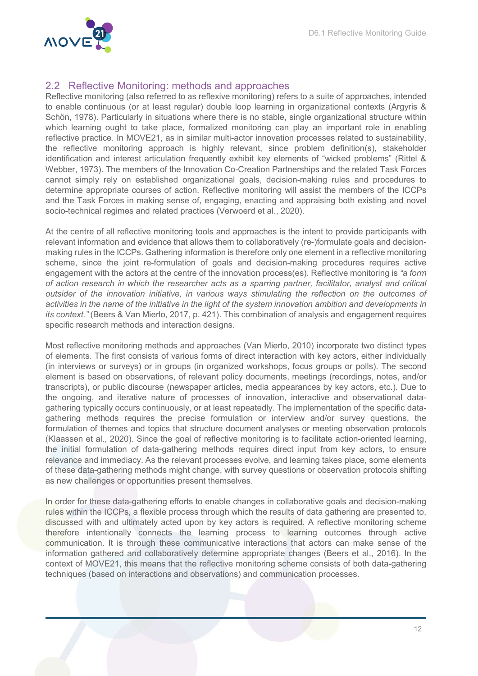

### 2.2 Reflective Monitoring: methods and approaches

Reflective monitoring (also referred to as reflexive monitoring) refers to a suite of approaches, intended to enable continuous (or at least regular) double loop learning in organizational contexts (Argyris & Schön, 1978). Particularly in situations where there is no stable, single organizational structure within which learning ought to take place, formalized monitoring can play an important role in enabling reflective practice. In MOVE21, as in similar multi-actor innovation processes related to sustainability, the reflective monitoring approach is highly relevant, since problem definition(s), stakeholder identification and interest articulation frequently exhibit key elements of "wicked problems" (Rittel & Webber, 1973). The members of the Innovation Co-Creation Partnerships and the related Task Forces cannot simply rely on established organizational goals, decision-making rules and procedures to determine appropriate courses of action. Reflective monitoring will assist the members of the ICCPs and the Task Forces in making sense of, engaging, enacting and appraising both existing and novel socio-technical regimes and related practices (Verwoerd et al., 2020).

At the centre of all reflective monitoring tools and approaches is the intent to provide participants with relevant information and evidence that allows them to collaboratively (re-)formulate goals and decisionmaking rules in the ICCPs. Gathering information is therefore only one element in a reflective monitoring scheme, since the joint re-formulation of goals and decision-making procedures requires active engagement with the actors at the centre of the innovation process(es). Reflective monitoring is "a form of action research in which the researcher acts as a sparring partner, facilitator, analyst and critical outsider of the innovation initiative, in various ways stimulating the reflection on the outcomes of activities in the name of the initiative in the light of the system innovation ambition and developments in its context." (Beers & Van Mierlo, 2017, p. 421). This combination of analysis and engagement requires specific research methods and interaction designs.

Most reflective monitoring methods and approaches (Van Mierlo, 2010) incorporate two distinct types of elements. The first consists of various forms of direct interaction with key actors, either individually (in interviews or surveys) or in groups (in organized workshops, focus groups or polls). The second element is based on observations, of relevant policy documents, meetings (recordings, notes, and/or transcripts), or public discourse (newspaper articles, media appearances by key actors, etc.). Due to the ongoing, and iterative nature of processes of innovation, interactive and observational datagathering typically occurs continuously, or at least repeatedly. The implementation of the specific datagathering methods requires the precise formulation or interview and/or survey questions, the formulation of themes and topics that structure document analyses or meeting observation protocols (Klaassen et al., 2020). Since the goal of reflective monitoring is to facilitate action-oriented learning, the initial formulation of data-gathering methods requires direct input from key actors, to ensure relevance and immediacy. As the relevant processes evolve, and learning takes place, some elements of these data-gathering methods might change, with survey questions or observation protocols shifting as new challenges or opportunities present themselves.

In order for these data-gathering efforts to enable changes in collaborative goals and decision-making rules within the ICCPs, a flexible process through which the results of data gathering are presented to, discussed with and ultimately acted upon by key actors is required. A reflective monitoring scheme therefore intentionally connects the learning process to learning outcomes through active communication. It is through these communicative interactions that actors can make sense of the information gathered and collaboratively determine appropriate changes (Beers et al., 2016). In the context of MOVE21, this means that the reflective monitoring scheme consists of both data-gathering techniques (based on interactions and observations) and communication processes.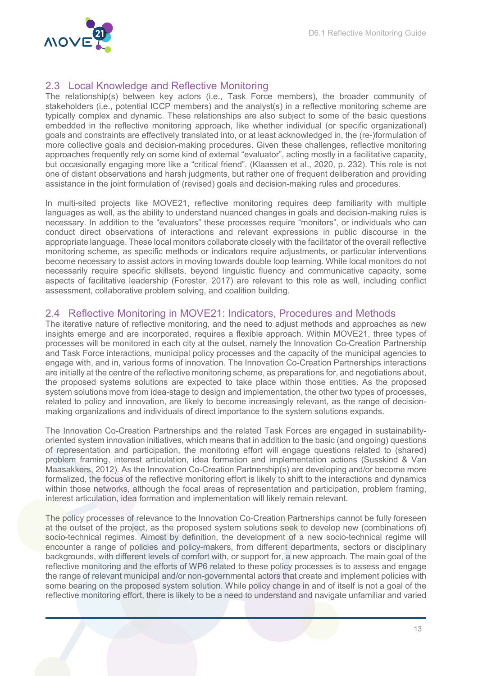

### 2.3 Local Knowledge and Reflective Monitoring

The relationship(s) between key actors (i.e., Task Force members), the broader community of stakeholders (i.e., potential ICCP members) and the analyst(s) in a reflective monitoring scheme are typically complex and dynamic. These relationships are also subject to some of the basic questions embedded in the reflective monitoring approach, like whether individual (or specific organizational) goals and constraints are effectively translated into, or at least acknowledged in, the (re-)formulation of more collective goals and decision-making procedures. Given these challenges, reflective monitoring approaches frequently rely on some kind of external "evaluator", acting mostly in a facilitative capacity, but occasionally engaging more like a "critical friend". (Klaassen et al., 2020, p. 232). This role is not one of distant observations and harsh judgments, but rather one of frequent deliberation and providing assistance in the joint formulation of (revised) goals and decision-making rules and procedures.

In multi-sited projects like MOVE21, reflective monitoring requires deep familiarity with multiple languages as well, as the ability to understand nuanced changes in goals and decision-making rules is necessary. In addition to the "evaluators" these processes require "monitors", or individuals who can conduct direct observations of interactions and relevant expressions in public discourse in the appropriate language. These local monitors collaborate closely with the facilitator of the overall reflective monitoring scheme, as specific methods or indicators require adjustments, or particular interventions become necessary to assist actors in moving towards double loop learning. While local monitors do not necessarily require specific skillsets, beyond linguistic fluency and communicative capacity, some aspects of facilitative leadership (Forester, 2017) are relevant to this role as well, including conflict assessment, collaborative problem solving, and coalition building.

#### 2.4 Reflective Monitoring in MOVE21: Indicators, Procedures and Methods

The iterative nature of reflective monitoring, and the need to adjust methods and approaches as new insights emerge and are incorporated, requires a flexible approach. Within MOVE21, three types of processes will be monitored in each city at the outset, namely the Innovation Co-Creation Partnership and Task Force interactions, municipal policy processes and the capacity of the municipal agencies to engage with, and in, various forms of innovation. The Innovation Co-Creation Partnerships interactions are initially at the centre of the reflective monitoring scheme, as preparations for, and negotiations about, the proposed systems solutions are expected to take place within those entities. As the proposed system solutions move from idea-stage to design and implementation, the other two types of processes, related to policy and innovation, are likely to become increasingly relevant, as the range of decisionmaking organizations and individuals of direct importance to the system solutions expands.

The Innovation Co-Creation Partnerships and the related Task Forces are engaged in sustainabilityoriented system innovation initiatives, which means that in addition to the basic (and ongoing) questions of representation and participation, the monitoring effort will engage questions related to (shared) problem framing, interest articulation, idea formation and implementation actions (Susskind & Van Maasakkers, 2012). As the Innovation Co-Creation Partnership(s) are developing and/or become more formalized, the focus of the reflective monitoring effort is likely to shift to the interactions and dynamics within those networks, although the focal areas of representation and participation, problem framing, interest articulation, idea formation and implementation will likely remain relevant.

The policy processes of relevance to the Innovation Co-Creation Partnerships cannot be fully foreseen at the outset of the project, as the proposed system solutions seek to develop new (combinations of) socio-technical regimes. Almost by definition, the development of a new socio-technical regime will encounter a range of policies and policy-makers, from different departments, sectors or disciplinary backgrounds, with different levels of comfort with, or support for, a new approach. The main goal of the reflective monitoring and the efforts of WP6 related to these policy processes is to assess and engage the range of relevant municipal and/or non-governmental actors that create and implement policies with some bearing on the proposed system solution. While policy change in and of itself is not a goal of the reflective monitoring effort, there is likely to be a need to understand and navigate unfamiliar and varied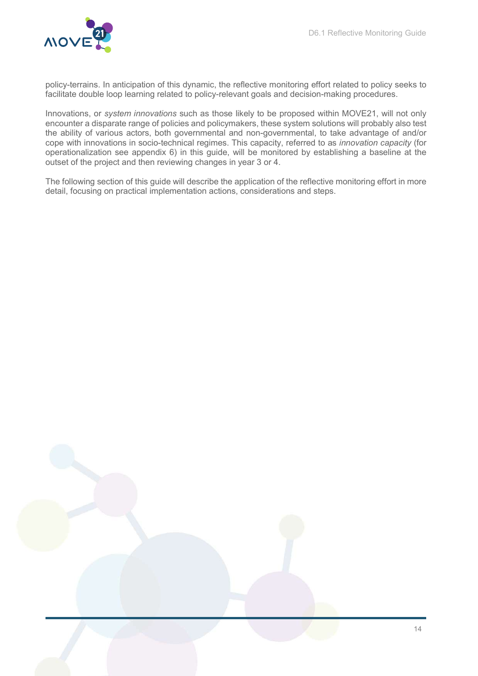

policy-terrains. In anticipation of this dynamic, the reflective monitoring effort related to policy seeks to facilitate double loop learning related to policy-relevant goals and decision-making procedures.

Innovations, or system innovations such as those likely to be proposed within MOVE21, will not only encounter a disparate range of policies and policymakers, these system solutions will probably also test the ability of various actors, both governmental and non-governmental, to take advantage of and/or cope with innovations in socio-technical regimes. This capacity, referred to as innovation capacity (for operationalization see appendix 6) in this guide, will be monitored by establishing a baseline at the outset of the project and then reviewing changes in year 3 or 4.

The following section of this guide will describe the application of the reflective monitoring effort in more detail, focusing on practical implementation actions, considerations and steps.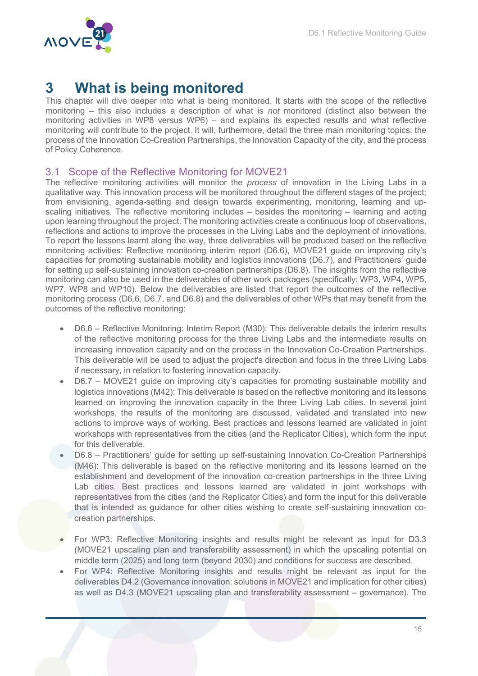

# 3 What is being monitored

This chapter will dive deeper into what is being monitored. It starts with the scope of the reflective monitoring – this also includes a description of what is *not* monitored (distinct also between the monitoring activities in WP8 versus WP6) – and explains its expected results and what reflective monitoring will contribute to the project. It will, furthermore, detail the three main monitoring topics: the process of the Innovation Co-Creation Partnerships, the Innovation Capacity of the city, and the process of Policy Coherence.

### 3.1 Scope of the Reflective Monitoring for MOVE21

The reflective monitoring activities will monitor the *process* of innovation in the Living Labs in a qualitative way. This innovation process will be monitored throughout the different stages of the project; from envisioning, agenda-setting and design towards experimenting, monitoring, learning and upscaling initiatives. The reflective monitoring includes – besides the monitoring – learning and acting upon learning throughout the project. The monitoring activities create a continuous loop of observations, reflections and actions to improve the processes in the Living Labs and the deployment of innovations. To report the lessons learnt along the way, three deliverables will be produced based on the reflective monitoring activities: Reflective monitoring interim report (D6.6), MOVE21 guide on improving city's capacities for promoting sustainable mobility and logistics innovations (D6.7), and Practitioners' guide for setting up self-sustaining innovation co-creation partnerships (D6.8). The insights from the reflective monitoring can also be used in the deliverables of other work packages (specifically: WP3, WP4, WP5, WP7, WP8 and WP10). Below the deliverables are listed that report the outcomes of the reflective monitoring process (D6.6, D6.7, and D6.8) and the deliverables of other WPs that may benefit from the outcomes of the reflective monitoring:

- D6.6 Reflective Monitoring: Interim Report (M30): This deliverable details the interim results of the reflective monitoring process for the three Living Labs and the intermediate results on increasing innovation capacity and on the process in the Innovation Co-Creation Partnerships. This deliverable will be used to adjust the project's direction and focus in the three Living Labs if necessary, in relation to fostering innovation capacity.
- D6.7 MOVE21 guide on improving city's capacities for promoting sustainable mobility and logistics innovations (M42): This deliverable is based on the reflective monitoring and its lessons learned on improving the innovation capacity in the three Living Lab cities. In several joint workshops, the results of the monitoring are discussed, validated and translated into new actions to improve ways of working. Best practices and lessons learned are validated in joint workshops with representatives from the cities (and the Replicator Cities), which form the input for this deliverable.
- D6.8 Practitioners' guide for setting up self-sustaining Innovation Co-Creation Partnerships (M46): This deliverable is based on the reflective monitoring and its lessons learned on the establishment and development of the innovation co-creation partnerships in the three Living Lab cities. Best practices and lessons learned are validated in joint workshops with representatives from the cities (and the Replicator Cities) and form the input for this deliverable that is intended as guidance for other cities wishing to create self-sustaining innovation cocreation partnerships.
- For WP3: Reflective Monitoring insights and results might be relevant as input for D3.3 (MOVE21 upscaling plan and transferability assessment) in which the upscaling potential on middle term (2025) and long term (beyond 2030) and conditions for success are described.
- For WP4: Reflective Monitoring insights and results might be relevant as input for the deliverables D4.2 (Governance innovation: solutions in MOVE21 and implication for other cities) as well as D4.3 (MOVE21 upscaling plan and transferability assessment – governance). The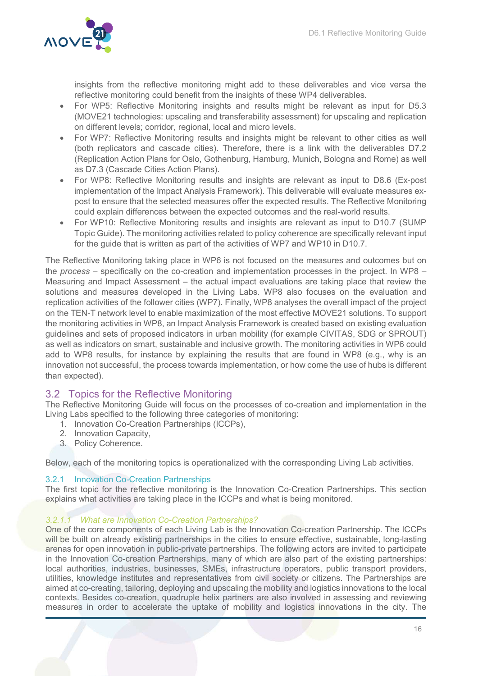

insights from the reflective monitoring might add to these deliverables and vice versa the reflective monitoring could benefit from the insights of these WP4 deliverables.

- For WP5: Reflective Monitoring insights and results might be relevant as input for D5.3 (MOVE21 technologies: upscaling and transferability assessment) for upscaling and replication on different levels; corridor, regional, local and micro levels.
- For WP7: Reflective Monitoring results and insights might be relevant to other cities as well (both replicators and cascade cities). Therefore, there is a link with the deliverables D7.2 (Replication Action Plans for Oslo, Gothenburg, Hamburg, Munich, Bologna and Rome) as well as D7.3 (Cascade Cities Action Plans).
- For WP8: Reflective Monitoring results and insights are relevant as input to D8.6 (Ex-post implementation of the Impact Analysis Framework). This deliverable will evaluate measures expost to ensure that the selected measures offer the expected results. The Reflective Monitoring could explain differences between the expected outcomes and the real-world results.
- For WP10: Reflective Monitoring results and insights are relevant as input to D10.7 (SUMP Topic Guide). The monitoring activities related to policy coherence are specifically relevant input for the guide that is written as part of the activities of WP7 and WP10 in D10.7.

The Reflective Monitoring taking place in WP6 is not focused on the measures and outcomes but on the process – specifically on the co-creation and implementation processes in the project. In WP8 – Measuring and Impact Assessment – the actual impact evaluations are taking place that review the solutions and measures developed in the Living Labs. WP8 also focuses on the evaluation and replication activities of the follower cities (WP7). Finally, WP8 analyses the overall impact of the project on the TEN-T network level to enable maximization of the most effective MOVE21 solutions. To support the monitoring activities in WP8, an Impact Analysis Framework is created based on existing evaluation guidelines and sets of proposed indicators in urban mobility (for example CIVITAS, SDG or SPROUT) as well as indicators on smart, sustainable and inclusive growth. The monitoring activities in WP6 could add to WP8 results, for instance by explaining the results that are found in WP8 (e.g., why is an innovation not successful, the process towards implementation, or how come the use of hubs is different than expected).

# 3.2 Topics for the Reflective Monitoring

The Reflective Monitoring Guide will focus on the processes of co-creation and implementation in the Living Labs specified to the following three categories of monitoring:

- 1. Innovation Co-Creation Partnerships (ICCPs),
- 2. Innovation Capacity,
- 3. Policy Coherence.

Below, each of the monitoring topics is operationalized with the corresponding Living Lab activities.

#### 3.2.1 Innovation Co-Creation Partnerships

The first topic for the reflective monitoring is the Innovation Co-Creation Partnerships. This section explains what activities are taking place in the ICCPs and what is being monitored.

#### 3.2.1.1 What are Innovation Co-Creation Partnerships?

One of the core components of each Living Lab is the Innovation Co-creation Partnership. The ICCPs will be built on already existing partnerships in the cities to ensure effective, sustainable, long-lasting arenas for open innovation in public-private partnerships. The following actors are invited to participate in the Innovation Co-creation Partnerships, many of which are also part of the existing partnerships: local authorities, industries, businesses, SMEs, infrastructure operators, public transport providers, utilities, knowledge institutes and representatives from civil society or citizens. The Partnerships are aimed at co-creating, tailoring, deploying and upscaling the mobility and logistics innovations to the local contexts. Besides co-creation, quadruple helix partners are also involved in assessing and reviewing measures in order to accelerate the uptake of mobility and logistics innovations in the city. The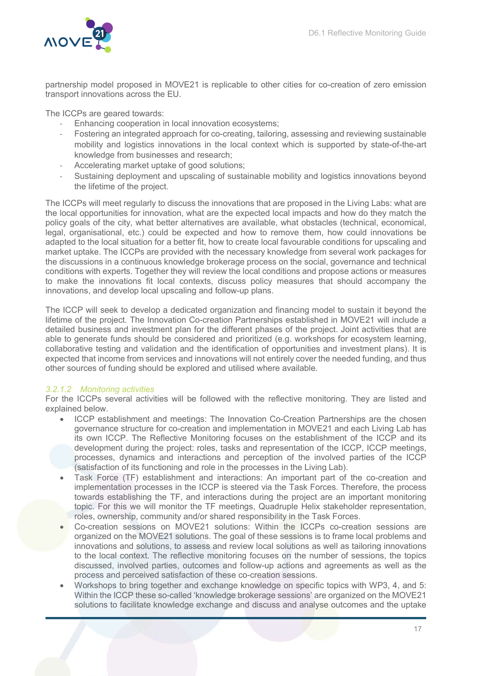

partnership model proposed in MOVE21 is replicable to other cities for co-creation of zero emission transport innovations across the EU.

The ICCPs are geared towards:

- Enhancing cooperation in local innovation ecosystems;
- Fostering an integrated approach for co-creating, tailoring, assessing and reviewing sustainable mobility and logistics innovations in the local context which is supported by state-of-the-art knowledge from businesses and research;
- Accelerating market uptake of good solutions;
- Sustaining deployment and upscaling of sustainable mobility and logistics innovations beyond the lifetime of the project.

The ICCPs will meet regularly to discuss the innovations that are proposed in the Living Labs: what are the local opportunities for innovation, what are the expected local impacts and how do they match the policy goals of the city, what better alternatives are available, what obstacles (technical, economical, legal, organisational, etc.) could be expected and how to remove them, how could innovations be adapted to the local situation for a better fit, how to create local favourable conditions for upscaling and market uptake. The ICCPs are provided with the necessary knowledge from several work packages for the discussions in a continuous knowledge brokerage process on the social, governance and technical conditions with experts. Together they will review the local conditions and propose actions or measures to make the innovations fit local contexts, discuss policy measures that should accompany the innovations, and develop local upscaling and follow-up plans.

The ICCP will seek to develop a dedicated organization and financing model to sustain it beyond the lifetime of the project. The Innovation Co-creation Partnerships established in MOVE21 will include a detailed business and investment plan for the different phases of the project. Joint activities that are able to generate funds should be considered and prioritized (e.g. workshops for ecosystem learning, collaborative testing and validation and the identification of opportunities and investment plans). It is expected that income from services and innovations will not entirely cover the needed funding, and thus other sources of funding should be explored and utilised where available.

#### 3.2.1.2 Monitoring activities

For the ICCPs several activities will be followed with the reflective monitoring. They are listed and explained below.

- ICCP establishment and meetings: The Innovation Co-Creation Partnerships are the chosen governance structure for co-creation and implementation in MOVE21 and each Living Lab has its own ICCP. The Reflective Monitoring focuses on the establishment of the ICCP and its development during the project: roles, tasks and representation of the ICCP, ICCP meetings, processes, dynamics and interactions and perception of the involved parties of the ICCP (satisfaction of its functioning and role in the processes in the Living Lab).
- Task Force (TF) establishment and interactions: An important part of the co-creation and implementation processes in the ICCP is steered via the Task Forces. Therefore, the process towards establishing the TF, and interactions during the project are an important monitoring topic. For this we will monitor the TF meetings, Quadruple Helix stakeholder representation, roles, ownership, community and/or shared responsibility in the Task Forces.
- Co-creation sessions on MOVE21 solutions: Within the ICCPs co-creation sessions are organized on the MOVE21 solutions. The goal of these sessions is to frame local problems and innovations and solutions, to assess and review local solutions as well as tailoring innovations to the local context. The reflective monitoring focuses on the number of sessions, the topics discussed, involved parties, outcomes and follow-up actions and agreements as well as the process and perceived satisfaction of these co-creation sessions.
- Workshops to bring together and exchange knowledge on specific topics with WP3, 4, and 5: Within the ICCP these so-called 'knowledge brokerage sessions' are organized on the MOVE21 solutions to facilitate knowledge exchange and discuss and analyse outcomes and the uptake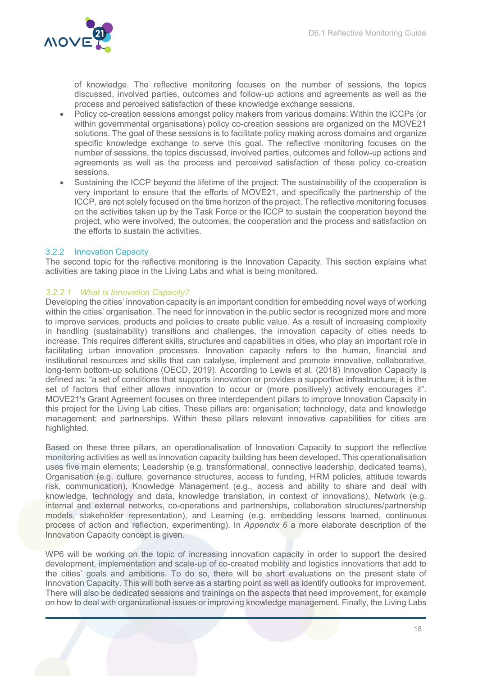

of knowledge. The reflective monitoring focuses on the number of sessions, the topics discussed, involved parties, outcomes and follow-up actions and agreements as well as the process and perceived satisfaction of these knowledge exchange sessions.

- Policy co-creation sessions amongst policy makers from various domains: Within the ICCPs (or within governmental organisations) policy co-creation sessions are organized on the MOVE21 solutions. The goal of these sessions is to facilitate policy making across domains and organize specific knowledge exchange to serve this goal. The reflective monitoring focuses on the number of sessions, the topics discussed, involved parties, outcomes and follow-up actions and agreements as well as the process and perceived satisfaction of these policy co-creation sessions.
- Sustaining the ICCP beyond the lifetime of the project: The sustainability of the cooperation is very important to ensure that the efforts of MOVE21, and specifically the partnership of the ICCP, are not solely focused on the time horizon of the project. The reflective monitoring focuses on the activities taken up by the Task Force or the ICCP to sustain the cooperation beyond the project, who were involved, the outcomes, the cooperation and the process and satisfaction on the efforts to sustain the activities.

#### 3.2.2 Innovation Capacity

The second topic for the reflective monitoring is the Innovation Capacity. This section explains what activities are taking place in the Living Labs and what is being monitored.

#### 3.2.2.1 What is Innovation Capacity?

Developing the cities' innovation capacity is an important condition for embedding novel ways of working within the cities' organisation. The need for innovation in the public sector is recognized more and more to improve services, products and policies to create public value. As a result of increasing complexity in handling (sustainability) transitions and challenges, the innovation capacity of cities needs to increase. This requires different skills, structures and capabilities in cities, who play an important role in facilitating urban innovation processes. Innovation capacity refers to the human, financial and institutional resources and skills that can catalyse, implement and promote innovative, collaborative, long-term bottom-up solutions (OECD, 2019). According to Lewis et al. (2018) Innovation Capacity is defined as: "a set of conditions that supports innovation or provides a supportive infrastructure; it is the set of factors that either allows innovation to occur or (more positively) actively encourages it". MOVE21's Grant Agreement focuses on three interdependent pillars to improve Innovation Capacity in this project for the Living Lab cities. These pillars are: organisation; technology, data and knowledge management; and partnerships. Within these pillars relevant innovative capabilities for cities are highlighted.

Based on these three pillars, an operationalisation of Innovation Capacity to support the reflective monitoring activities as well as innovation capacity building has been developed. This operationalisation uses five main elements; Leadership (e.g. transformational, connective leadership, dedicated teams), Organisation (e.g. culture, governance structures, access to funding, HRM policies, attitude towards risk, communication), Knowledge Management (e.g., access and ability to share and deal with knowledge, technology and data, knowledge translation, in context of innovations), Network (e.g. internal and external networks, co-operations and partnerships, collaboration structures/partnership models, stakeholder representation), and Learning (e.g. embedding lessons learned, continuous process of action and reflection, experimenting). In Appendix 6 a more elaborate description of the Innovation Capacity concept is given.

WP6 will be working on the topic of increasing innovation capacity in order to support the desired development, implementation and scale-up of co-created mobility and logistics innovations that add to the cities' goals and ambitions. To do so, there will be short evaluations on the present state of Innovation Capacity. This will both serve as a starting point as well as identify outlooks for improvement. There will also be dedicated sessions and trainings on the aspects that need improvement, for example on how to deal with organizational issues or improving knowledge management. Finally, the Living Labs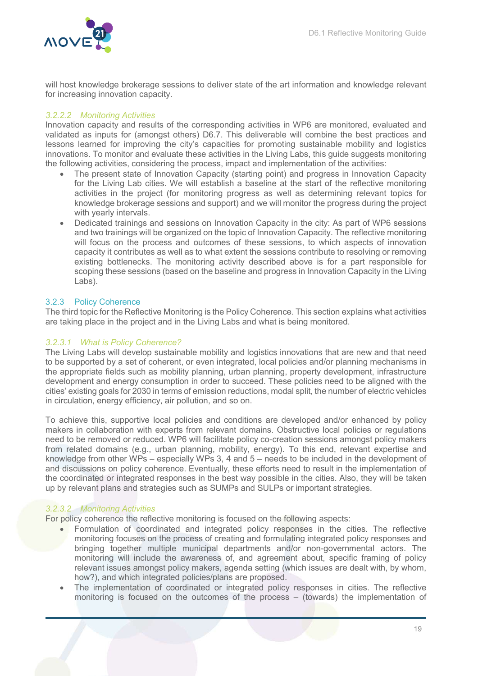will host knowledge brokerage sessions to deliver state of the art information and knowledge relevant for increasing innovation capacity.

#### 3.2.2.2 Monitoring Activities

Innovation capacity and results of the corresponding activities in WP6 are monitored, evaluated and validated as inputs for (amongst others) D6.7. This deliverable will combine the best practices and lessons learned for improving the city's capacities for promoting sustainable mobility and logistics innovations. To monitor and evaluate these activities in the Living Labs, this guide suggests monitoring the following activities, considering the process, impact and implementation of the activities:

- The present state of Innovation Capacity (starting point) and progress in Innovation Capacity for the Living Lab cities. We will establish a baseline at the start of the reflective monitoring activities in the project (for monitoring progress as well as determining relevant topics for knowledge brokerage sessions and support) and we will monitor the progress during the project with yearly intervals.
- Dedicated trainings and sessions on Innovation Capacity in the city: As part of WP6 sessions and two trainings will be organized on the topic of Innovation Capacity. The reflective monitoring will focus on the process and outcomes of these sessions, to which aspects of innovation capacity it contributes as well as to what extent the sessions contribute to resolving or removing existing bottlenecks. The monitoring activity described above is for a part responsible for scoping these sessions (based on the baseline and progress in Innovation Capacity in the Living Labs).

#### 3.2.3 Policy Coherence

The third topic for the Reflective Monitoring is the Policy Coherence. This section explains what activities are taking place in the project and in the Living Labs and what is being monitored.

#### 3.2.3.1 What is Policy Coherence?

The Living Labs will develop sustainable mobility and logistics innovations that are new and that need to be supported by a set of coherent, or even integrated, local policies and/or planning mechanisms in the appropriate fields such as mobility planning, urban planning, property development, infrastructure development and energy consumption in order to succeed. These policies need to be aligned with the cities' existing goals for 2030 in terms of emission reductions, modal split, the number of electric vehicles in circulation, energy efficiency, air pollution, and so on.

To achieve this, supportive local policies and conditions are developed and/or enhanced by policy makers in collaboration with experts from relevant domains. Obstructive local policies or regulations need to be removed or reduced. WP6 will facilitate policy co-creation sessions amongst policy makers from related domains (e.g., urban planning, mobility, energy). To this end, relevant expertise and knowledge from other WPs – especially WPs 3, 4 and 5 – needs to be included in the development of and discussions on policy coherence. Eventually, these efforts need to result in the implementation of the coordinated or integrated responses in the best way possible in the cities. Also, they will be taken up by relevant plans and strategies such as SUMPs and SULPs or important strategies.

#### 3.2.3.2 Monitoring Activities

For policy coherence the reflective monitoring is focused on the following aspects:

- Formulation of coordinated and integrated policy responses in the cities. The reflective monitoring focuses on the process of creating and formulating integrated policy responses and bringing together multiple municipal departments and/or non-governmental actors. The monitoring will include the awareness of, and agreement about, specific framing of policy relevant issues amongst policy makers, agenda setting (which issues are dealt with, by whom, how?), and which integrated policies/plans are proposed.
- The implementation of coordinated or integrated policy responses in cities. The reflective monitoring is focused on the outcomes of the process – (towards) the implementation of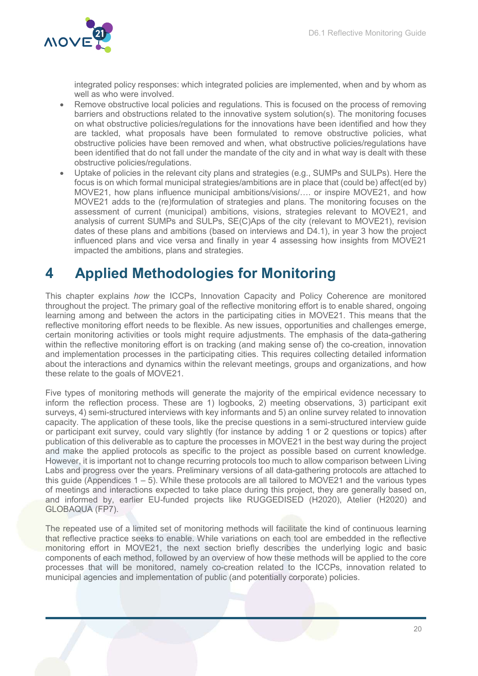

integrated policy responses: which integrated policies are implemented, when and by whom as well as who were involved.

- Remove obstructive local policies and regulations. This is focused on the process of removing barriers and obstructions related to the innovative system solution(s). The monitoring focuses on what obstructive policies/regulations for the innovations have been identified and how they are tackled, what proposals have been formulated to remove obstructive policies, what obstructive policies have been removed and when, what obstructive policies/regulations have been identified that do not fall under the mandate of the city and in what way is dealt with these obstructive policies/regulations.
- Uptake of policies in the relevant city plans and strategies (e.g., SUMPs and SULPs). Here the focus is on which formal municipal strategies/ambitions are in place that (could be) affect(ed by) MOVE21, how plans influence municipal ambitions/visions/…. or inspire MOVE21, and how MOVE21 adds to the (re)formulation of strategies and plans. The monitoring focuses on the assessment of current (municipal) ambitions, visions, strategies relevant to MOVE21, and analysis of current SUMPs and SULPs, SE(C)Aps of the city (relevant to MOVE21), revision dates of these plans and ambitions (based on interviews and D4.1), in year 3 how the project influenced plans and vice versa and finally in year 4 assessing how insights from MOVE21 impacted the ambitions, plans and strategies.

# 4 Applied Methodologies for Monitoring

This chapter explains how the ICCPs, Innovation Capacity and Policy Coherence are monitored throughout the project. The primary goal of the reflective monitoring effort is to enable shared, ongoing learning among and between the actors in the participating cities in MOVE21. This means that the reflective monitoring effort needs to be flexible. As new issues, opportunities and challenges emerge, certain monitoring activities or tools might require adjustments. The emphasis of the data-gathering within the reflective monitoring effort is on tracking (and making sense of) the co-creation, innovation and implementation processes in the participating cities. This requires collecting detailed information about the interactions and dynamics within the relevant meetings, groups and organizations, and how these relate to the goals of MOVE21.

Five types of monitoring methods will generate the majority of the empirical evidence necessary to inform the reflection process. These are 1) logbooks, 2) meeting observations, 3) participant exit surveys, 4) semi-structured interviews with key informants and 5) an online survey related to innovation capacity. The application of these tools, like the precise questions in a semi-structured interview guide or participant exit survey, could vary slightly (for instance by adding 1 or 2 questions or topics) after publication of this deliverable as to capture the processes in MOVE21 in the best way during the project and make the applied protocols as specific to the project as possible based on current knowledge. However, it is important not to change recurring protocols too much to allow comparison between Living Labs and progress over the years. Preliminary versions of all data-gathering protocols are attached to this guide (Appendices 1 – 5). While these protocols are all tailored to MOVE21 and the various types of meetings and interactions expected to take place during this project, they are generally based on, and informed by, earlier EU-funded projects like RUGGEDISED (H2020), Atelier (H2020) and GLOBAQUA (FP7).

The repeated use of a limited set of monitoring methods will facilitate the kind of continuous learning that reflective practice seeks to enable. While variations on each tool are embedded in the reflective monitoring effort in MOVE21, the next section briefly describes the underlying logic and basic components of each method, followed by an overview of how these methods will be applied to the core processes that will be monitored, namely co-creation related to the ICCPs, innovation related to municipal agencies and implementation of public (and potentially corporate) policies.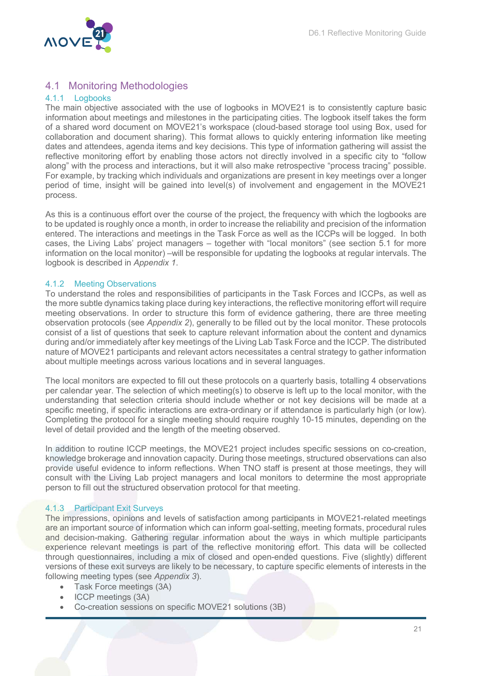

# 4.1 Monitoring Methodologies

#### 4.1.1 Logbooks

The main objective associated with the use of logbooks in MOVE21 is to consistently capture basic information about meetings and milestones in the participating cities. The logbook itself takes the form of a shared word document on MOVE21's workspace (cloud-based storage tool using Box, used for collaboration and document sharing). This format allows to quickly entering information like meeting dates and attendees, agenda items and key decisions. This type of information gathering will assist the reflective monitoring effort by enabling those actors not directly involved in a specific city to "follow along" with the process and interactions, but it will also make retrospective "process tracing" possible. For example, by tracking which individuals and organizations are present in key meetings over a longer period of time, insight will be gained into level(s) of involvement and engagement in the MOVE21 process.

As this is a continuous effort over the course of the project, the frequency with which the logbooks are to be updated is roughly once a month, in order to increase the reliability and precision of the information entered. The interactions and meetings in the Task Force as well as the ICCPs will be logged. In both cases, the Living Labs' project managers – together with "local monitors" (see section 5.1 for more information on the local monitor) –will be responsible for updating the logbooks at regular intervals. The logbook is described in Appendix 1.

#### 4.1.2 Meeting Observations

To understand the roles and responsibilities of participants in the Task Forces and ICCPs, as well as the more subtle dynamics taking place during key interactions, the reflective monitoring effort will require meeting observations. In order to structure this form of evidence gathering, there are three meeting observation protocols (see Appendix 2), generally to be filled out by the local monitor. These protocols consist of a list of questions that seek to capture relevant information about the content and dynamics during and/or immediately after key meetings of the Living Lab Task Force and the ICCP. The distributed nature of MOVE21 participants and relevant actors necessitates a central strategy to gather information about multiple meetings across various locations and in several languages.

The local monitors are expected to fill out these protocols on a quarterly basis, totalling 4 observations per calendar year. The selection of which meeting(s) to observe is left up to the local monitor, with the understanding that selection criteria should include whether or not key decisions will be made at a specific meeting, if specific interactions are extra-ordinary or if attendance is particularly high (or low). Completing the protocol for a single meeting should require roughly 10-15 minutes, depending on the level of detail provided and the length of the meeting observed.

In addition to routine ICCP meetings, the MOVE21 project includes specific sessions on co-creation, knowledge brokerage and innovation capacity. During those meetings, structured observations can also provide useful evidence to inform reflections. When TNO staff is present at those meetings, they will consult with the Living Lab project managers and local monitors to determine the most appropriate person to fill out the structured observation protocol for that meeting.

#### 4.1.3 Participant Exit Surveys

The impressions, opinions and levels of satisfaction among participants in MOVE21-related meetings are an important source of information which can inform goal-setting, meeting formats, procedural rules and decision-making. Gathering regular information about the ways in which multiple participants experience relevant meetings is part of the reflective monitoring effort. This data will be collected through questionnaires, including a mix of closed and open-ended questions. Five (slightly) different versions of these exit surveys are likely to be necessary, to capture specific elements of interests in the following meeting types (see Appendix 3).

- Task Force meetings (3A)
- $\bullet$  ICCP meetings (3A)
- Co-creation sessions on specific MOVE21 solutions (3B)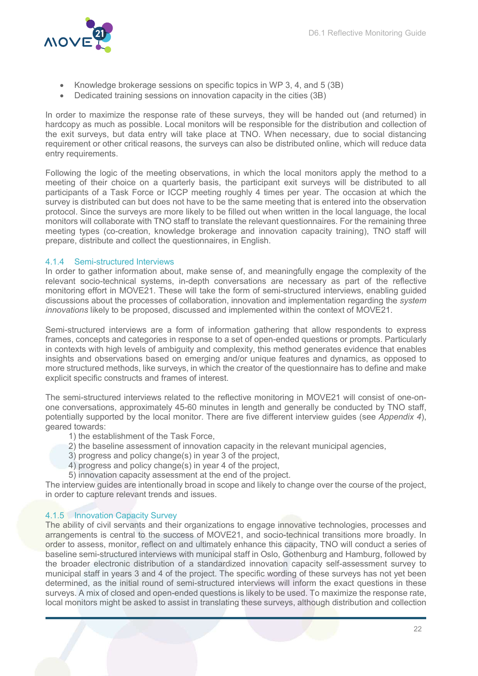

- Knowledge brokerage sessions on specific topics in WP 3, 4, and 5 (3B)
- Dedicated training sessions on innovation capacity in the cities (3B)

In order to maximize the response rate of these surveys, they will be handed out (and returned) in hardcopy as much as possible. Local monitors will be responsible for the distribution and collection of the exit surveys, but data entry will take place at TNO. When necessary, due to social distancing requirement or other critical reasons, the surveys can also be distributed online, which will reduce data entry requirements.

Following the logic of the meeting observations, in which the local monitors apply the method to a meeting of their choice on a quarterly basis, the participant exit surveys will be distributed to all participants of a Task Force or ICCP meeting roughly 4 times per year. The occasion at which the survey is distributed can but does not have to be the same meeting that is entered into the observation protocol. Since the surveys are more likely to be filled out when written in the local language, the local monitors will collaborate with TNO staff to translate the relevant questionnaires. For the remaining three meeting types (co-creation, knowledge brokerage and innovation capacity training), TNO staff will prepare, distribute and collect the questionnaires, in English.

#### 4.1.4 Semi-structured Interviews

In order to gather information about, make sense of, and meaningfully engage the complexity of the relevant socio-technical systems, in-depth conversations are necessary as part of the reflective monitoring effort in MOVE21. These will take the form of semi-structured interviews, enabling guided discussions about the processes of collaboration, innovation and implementation regarding the system innovations likely to be proposed, discussed and implemented within the context of MOVE21.

Semi-structured interviews are a form of information gathering that allow respondents to express frames, concepts and categories in response to a set of open-ended questions or prompts. Particularly in contexts with high levels of ambiguity and complexity, this method generates evidence that enables insights and observations based on emerging and/or unique features and dynamics, as opposed to more structured methods, like surveys, in which the creator of the questionnaire has to define and make explicit specific constructs and frames of interest.

The semi-structured interviews related to the reflective monitoring in MOVE21 will consist of one-onone conversations, approximately 45-60 minutes in length and generally be conducted by TNO staff, potentially supported by the local monitor. There are five different interview guides (see Appendix 4), geared towards:

- 1) the establishment of the Task Force,
- 2) the baseline assessment of innovation capacity in the relevant municipal agencies,
- 3) progress and policy change(s) in year 3 of the project,
- 4) progress and policy change(s) in year 4 of the project,
- 5) innovation capacity assessment at the end of the project.

The interview guides are intentionally broad in scope and likely to change over the course of the project, in order to capture relevant trends and issues.

#### 4.1.5 Innovation Capacity Survey

The ability of civil servants and their organizations to engage innovative technologies, processes and arrangements is central to the success of MOVE21, and socio-technical transitions more broadly. In order to assess, monitor, reflect on and ultimately enhance this capacity, TNO will conduct a series of baseline semi-structured interviews with municipal staff in Oslo, Gothenburg and Hamburg, followed by the broader electronic distribution of a standardized innovation capacity self-assessment survey to municipal staff in years 3 and 4 of the project. The specific wording of these surveys has not yet been determined, as the initial round of semi-structured interviews will inform the exact questions in these surveys. A mix of closed and open-ended questions is likely to be used. To maximize the response rate, local monitors might be asked to assist in translating these surveys, although distribution and collection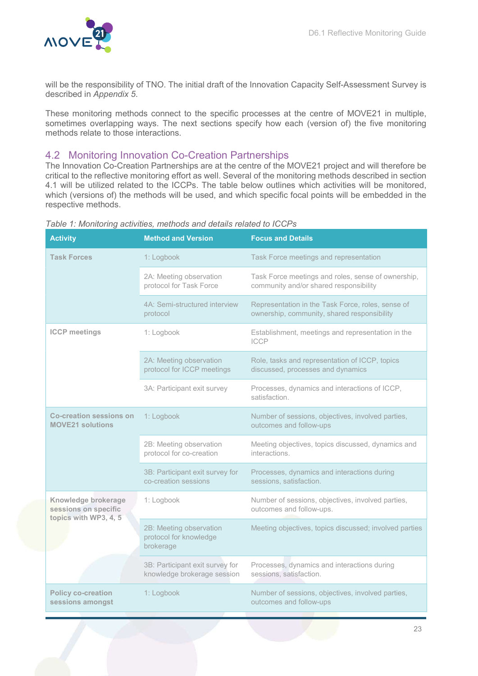

will be the responsibility of TNO. The initial draft of the Innovation Capacity Self-Assessment Survey is described in Appendix 5.

These monitoring methods connect to the specific processes at the centre of MOVE21 in multiple, sometimes overlapping ways. The next sections specify how each (version of) the five monitoring methods relate to those interactions.

### 4.2 Monitoring Innovation Co-Creation Partnerships

The Innovation Co-Creation Partnerships are at the centre of the MOVE21 project and will therefore be critical to the reflective monitoring effort as well. Several of the monitoring methods described in section 4.1 will be utilized related to the ICCPs. The table below outlines which activities will be monitored, which (versions of) the methods will be used, and which specific focal points will be embedded in the respective methods.

| <b>Activity</b>                                                      | <b>Method and Version</b>                                      | <b>Focus and Details</b>                                                                         |  |  |  |  |
|----------------------------------------------------------------------|----------------------------------------------------------------|--------------------------------------------------------------------------------------------------|--|--|--|--|
| <b>Task Forces</b>                                                   | 1: Logbook                                                     | Task Force meetings and representation                                                           |  |  |  |  |
|                                                                      | 2A: Meeting observation<br>protocol for Task Force             | Task Force meetings and roles, sense of ownership,<br>community and/or shared responsibility     |  |  |  |  |
|                                                                      | 4A: Semi-structured interview<br>protocol                      | Representation in the Task Force, roles, sense of<br>ownership, community, shared responsibility |  |  |  |  |
| <b>ICCP</b> meetings                                                 | 1: Logbook                                                     | Establishment, meetings and representation in the<br><b>ICCP</b>                                 |  |  |  |  |
|                                                                      | 2A: Meeting observation<br>protocol for ICCP meetings          | Role, tasks and representation of ICCP, topics<br>discussed, processes and dynamics              |  |  |  |  |
|                                                                      | 3A: Participant exit survey                                    | Processes, dynamics and interactions of ICCP,<br>satisfaction.                                   |  |  |  |  |
| <b>Co-creation sessions on</b><br><b>MOVE21 solutions</b>            | 1: Logbook                                                     | Number of sessions, objectives, involved parties,<br>outcomes and follow-ups                     |  |  |  |  |
|                                                                      | 2B: Meeting observation<br>protocol for co-creation            | Meeting objectives, topics discussed, dynamics and<br>interactions.                              |  |  |  |  |
|                                                                      | 3B: Participant exit survey for<br>co-creation sessions        | Processes, dynamics and interactions during<br>sessions, satisfaction.                           |  |  |  |  |
| Knowledge brokerage<br>sessions on specific<br>topics with WP3, 4, 5 | 1: Logbook                                                     | Number of sessions, objectives, involved parties,<br>outcomes and follow-ups.                    |  |  |  |  |
|                                                                      | 2B: Meeting observation<br>protocol for knowledge<br>brokerage | Meeting objectives, topics discussed; involved parties                                           |  |  |  |  |
|                                                                      | 3B: Participant exit survey for<br>knowledge brokerage session | Processes, dynamics and interactions during<br>sessions, satisfaction.                           |  |  |  |  |
| <b>Policy co-creation</b><br>sessions amongst                        | 1: Logbook                                                     | Number of sessions, objectives, involved parties,<br>outcomes and follow-ups                     |  |  |  |  |

#### Table 1: Monitoring activities, methods and details related to ICCPs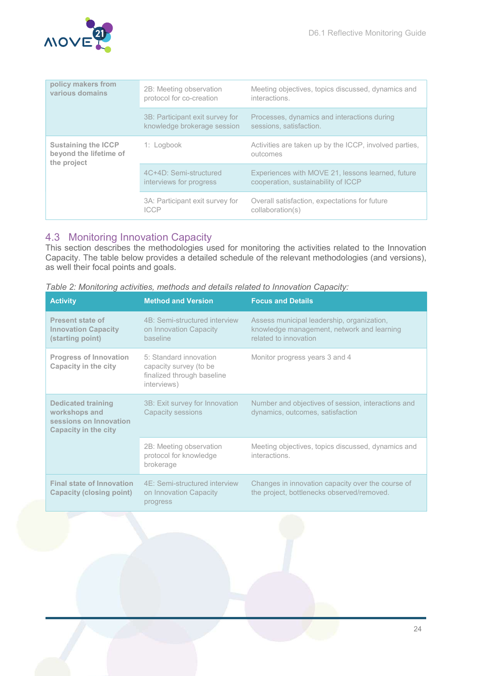

| policy makers from<br>various domains                               | 2B: Meeting observation<br>protocol for co-creation            | Meeting objectives, topics discussed, dynamics and<br>interactions.                      |  |  |  |
|---------------------------------------------------------------------|----------------------------------------------------------------|------------------------------------------------------------------------------------------|--|--|--|
|                                                                     | 3B: Participant exit survey for<br>knowledge brokerage session | Processes, dynamics and interactions during<br>sessions, satisfaction.                   |  |  |  |
| <b>Sustaining the ICCP</b><br>beyond the lifetime of<br>the project | 1: Logbook                                                     | Activities are taken up by the ICCP, involved parties,<br>outcomes                       |  |  |  |
|                                                                     | 4C+4D: Semi-structured<br>interviews for progress              | Experiences with MOVE 21, lessons learned, future<br>cooperation, sustainability of ICCP |  |  |  |
|                                                                     | 3A: Participant exit survey for<br><b>ICCP</b>                 | Overall satisfaction, expectations for future<br>collaboration(s)                        |  |  |  |

# 4.3 Monitoring Innovation Capacity

This section describes the methodologies used for monitoring the activities related to the Innovation Capacity. The table below provides a detailed schedule of the relevant methodologies (and versions), as well their focal points and goals.

| <b>Activity</b>                                                                                     | <b>Method and Version</b>                                                                     | <b>Focus and Details</b>                                                                                          |  |  |
|-----------------------------------------------------------------------------------------------------|-----------------------------------------------------------------------------------------------|-------------------------------------------------------------------------------------------------------------------|--|--|
| <b>Present state of</b><br><b>Innovation Capacity</b><br>(starting point)                           | 4B: Semi-structured interview<br>on Innovation Capacity<br>baseline                           | Assess municipal leadership, organization,<br>knowledge management, network and learning<br>related to innovation |  |  |
| <b>Progress of Innovation</b><br>Capacity in the city                                               | 5: Standard innovation<br>capacity survey (to be<br>finalized through baseline<br>interviews) | Monitor progress years 3 and 4                                                                                    |  |  |
| <b>Dedicated training</b><br>workshops and<br>sessions on Innovation<br><b>Capacity in the city</b> | 3B: Exit survey for Innovation<br>Capacity sessions                                           | Number and objectives of session, interactions and<br>dynamics, outcomes, satisfaction                            |  |  |
|                                                                                                     | 2B: Meeting observation<br>protocol for knowledge<br>brokerage                                | Meeting objectives, topics discussed, dynamics and<br>interactions.                                               |  |  |
| <b>Final state of Innovation</b><br>Capacity (closing point)                                        | 4F: Semi-structured interview<br>on Innovation Capacity<br>progress                           | Changes in innovation capacity over the course of<br>the project, bottlenecks observed/removed.                   |  |  |

Table 2: Monitoring activities, methods and details related to Innovation Capacity: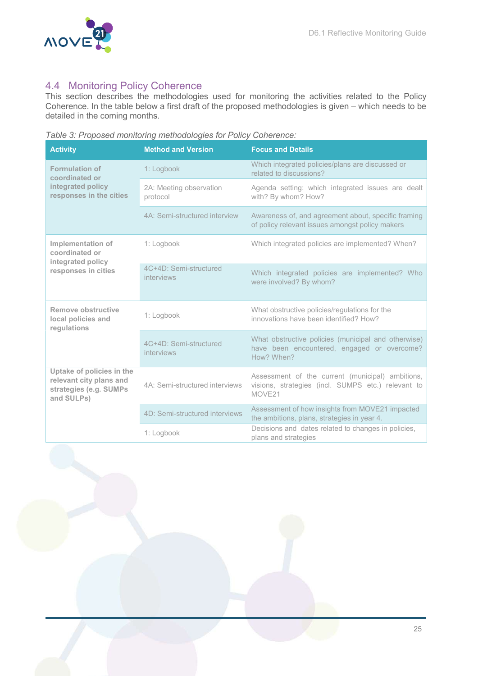

# 4.4 Monitoring Policy Coherence

This section describes the methodologies used for monitoring the activities related to the Policy Coherence. In the table below a first draft of the proposed methodologies is given – which needs to be detailed in the coming months.

Table 3: Proposed monitoring methodologies for Policy Coherence:

| <b>Activity</b>                                                                              | <b>Method and Version</b>            | <b>Focus and Details</b>                                                                                         |  |  |  |
|----------------------------------------------------------------------------------------------|--------------------------------------|------------------------------------------------------------------------------------------------------------------|--|--|--|
| <b>Formulation of</b><br>coordinated or                                                      | 1: Logbook                           | Which integrated policies/plans are discussed or<br>related to discussions?                                      |  |  |  |
| integrated policy<br>responses in the cities                                                 | 2A: Meeting observation<br>protocol  | Agenda setting: which integrated issues are dealt<br>with? By whom? How?                                         |  |  |  |
|                                                                                              | 4A: Semi-structured interview        | Awareness of, and agreement about, specific framing<br>of policy relevant issues amongst policy makers           |  |  |  |
| Implementation of<br>coordinated or<br>integrated policy                                     | 1: Logbook                           | Which integrated policies are implemented? When?                                                                 |  |  |  |
| responses in cities                                                                          | 4C+4D: Semi-structured<br>interviews | Which integrated policies are implemented? Who<br>were involved? By whom?                                        |  |  |  |
| Remove obstructive<br>local policies and<br>regulations                                      | 1: Logbook                           | What obstructive policies/regulations for the<br>innovations have been identified? How?                          |  |  |  |
|                                                                                              | 4C+4D: Semi-structured<br>interviews | What obstructive policies (municipal and otherwise)<br>have been encountered, engaged or overcome?<br>How? When? |  |  |  |
| Uptake of policies in the<br>relevant city plans and<br>strategies (e.g. SUMPs<br>and SULPs) | 4A: Semi-structured interviews       | Assessment of the current (municipal) ambitions,<br>visions, strategies (incl. SUMPS etc.) relevant to<br>MOVE21 |  |  |  |
|                                                                                              | 4D: Semi-structured interviews       | Assessment of how insights from MOVE21 impacted<br>the ambitions, plans, strategies in year 4.                   |  |  |  |
|                                                                                              | 1: Logbook                           | Decisions and dates related to changes in policies,<br>plans and strategies                                      |  |  |  |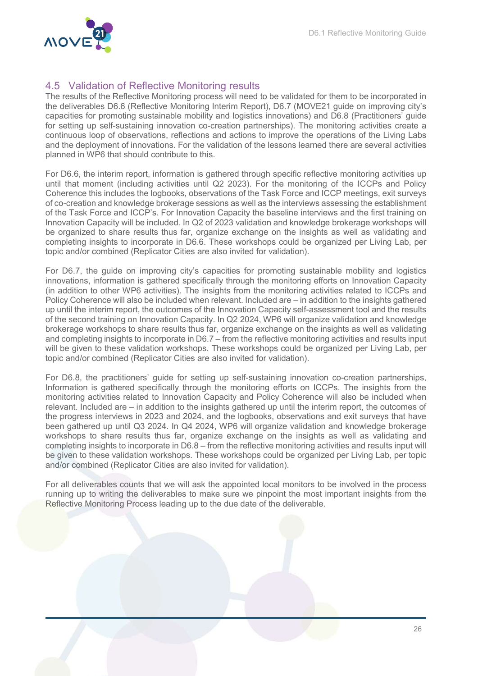

# 4.5 Validation of Reflective Monitoring results

The results of the Reflective Monitoring process will need to be validated for them to be incorporated in the deliverables D6.6 (Reflective Monitoring Interim Report), D6.7 (MOVE21 guide on improving city's capacities for promoting sustainable mobility and logistics innovations) and D6.8 (Practitioners' guide for setting up self-sustaining innovation co-creation partnerships). The monitoring activities create a continuous loop of observations, reflections and actions to improve the operations of the Living Labs and the deployment of innovations. For the validation of the lessons learned there are several activities planned in WP6 that should contribute to this.

For D6.6, the interim report, information is gathered through specific reflective monitoring activities up until that moment (including activities until Q2 2023). For the monitoring of the ICCPs and Policy Coherence this includes the logbooks, observations of the Task Force and ICCP meetings, exit surveys of co-creation and knowledge brokerage sessions as well as the interviews assessing the establishment of the Task Force and ICCP's. For Innovation Capacity the baseline interviews and the first training on Innovation Capacity will be included. In Q2 of 2023 validation and knowledge brokerage workshops will be organized to share results thus far, organize exchange on the insights as well as validating and completing insights to incorporate in D6.6. These workshops could be organized per Living Lab, per topic and/or combined (Replicator Cities are also invited for validation).

For D6.7, the guide on improving city's capacities for promoting sustainable mobility and logistics innovations, information is gathered specifically through the monitoring efforts on Innovation Capacity (in addition to other WP6 activities). The insights from the monitoring activities related to ICCPs and Policy Coherence will also be included when relevant. Included are – in addition to the insights gathered up until the interim report, the outcomes of the Innovation Capacity self-assessment tool and the results of the second training on Innovation Capacity. In Q2 2024, WP6 will organize validation and knowledge brokerage workshops to share results thus far, organize exchange on the insights as well as validating and completing insights to incorporate in D6.7 – from the reflective monitoring activities and results input will be given to these validation workshops. These workshops could be organized per Living Lab, per topic and/or combined (Replicator Cities are also invited for validation).

For D6.8, the practitioners' guide for setting up self-sustaining innovation co-creation partnerships, Information is gathered specifically through the monitoring efforts on ICCPs. The insights from the monitoring activities related to Innovation Capacity and Policy Coherence will also be included when relevant. Included are – in addition to the insights gathered up until the interim report, the outcomes of the progress interviews in 2023 and 2024, and the logbooks, observations and exit surveys that have been gathered up until Q3 2024. In Q4 2024, WP6 will organize validation and knowledge brokerage workshops to share results thus far, organize exchange on the insights as well as validating and completing insights to incorporate in D6.8 – from the reflective monitoring activities and results input will be given to these validation workshops. These workshops could be organized per Living Lab, per topic and/or combined (Replicator Cities are also invited for validation).

For all deliverables counts that we will ask the appointed local monitors to be involved in the process running up to writing the deliverables to make sure we pinpoint the most important insights from the Reflective Monitoring Process leading up to the due date of the deliverable.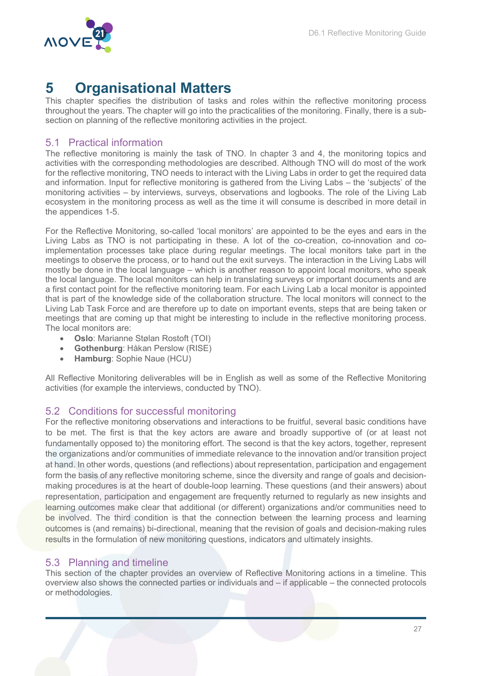

# 5 Organisational Matters

This chapter specifies the distribution of tasks and roles within the reflective monitoring process throughout the years. The chapter will go into the practicalities of the monitoring. Finally, there is a subsection on planning of the reflective monitoring activities in the project.

### 5.1 Practical information

The reflective monitoring is mainly the task of TNO. In chapter 3 and 4, the monitoring topics and activities with the corresponding methodologies are described. Although TNO will do most of the work for the reflective monitoring, TNO needs to interact with the Living Labs in order to get the required data and information. Input for reflective monitoring is gathered from the Living Labs – the 'subjects' of the monitoring activities – by interviews, surveys, observations and logbooks. The role of the Living Lab ecosystem in the monitoring process as well as the time it will consume is described in more detail in the appendices 1-5.

For the Reflective Monitoring, so-called 'local monitors' are appointed to be the eyes and ears in the Living Labs as TNO is not participating in these. A lot of the co-creation, co-innovation and coimplementation processes take place during regular meetings. The local monitors take part in the meetings to observe the process, or to hand out the exit surveys. The interaction in the Living Labs will mostly be done in the local language – which is another reason to appoint local monitors, who speak the local language. The local monitors can help in translating surveys or important documents and are a first contact point for the reflective monitoring team. For each Living Lab a local monitor is appointed that is part of the knowledge side of the collaboration structure. The local monitors will connect to the Living Lab Task Force and are therefore up to date on important events, steps that are being taken or meetings that are coming up that might be interesting to include in the reflective monitoring process. The local monitors are:

- Oslo: Marianne Stølan Rostoft (TOI)
- Gothenburg: Håkan Perslow (RISE)
- Hamburg: Sophie Naue (HCU)

All Reflective Monitoring deliverables will be in English as well as some of the Reflective Monitoring activities (for example the interviews, conducted by TNO).

#### 5.2 Conditions for successful monitoring

For the reflective monitoring observations and interactions to be fruitful, several basic conditions have to be met. The first is that the key actors are aware and broadly supportive of (or at least not fundamentally opposed to) the monitoring effort. The second is that the key actors, together, represent the organizations and/or communities of immediate relevance to the innovation and/or transition project at hand. In other words, questions (and reflections) about representation, participation and engagement form the basis of any reflective monitoring scheme, since the diversity and range of goals and decisionmaking procedures is at the heart of double-loop learning. These questions (and their answers) about representation, participation and engagement are frequently returned to regularly as new insights and learning outcomes make clear that additional (or different) organizations and/or communities need to be involved. The third condition is that the connection between the learning process and learning outcomes is (and remains) bi-directional, meaning that the revision of goals and decision-making rules results in the formulation of new monitoring questions, indicators and ultimately insights.

### 5.3 Planning and timeline

This section of the chapter provides an overview of Reflective Monitoring actions in a timeline. This overview also shows the connected parties or individuals and – if applicable – the connected protocols or methodologies.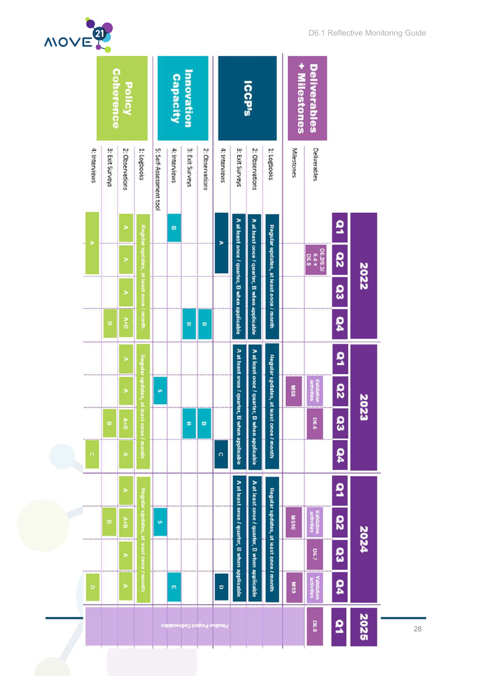| MOVE |               |                 |                       |                                        |                         |                      |                   |                               |                      |                                              |                                              |                                        |              |                                 |                         |      | DO'T TZQUQAINQ IMOHITOHIIA QAIQ |
|------|---------------|-----------------|-----------------------|----------------------------------------|-------------------------|----------------------|-------------------|-------------------------------|----------------------|----------------------------------------------|----------------------------------------------|----------------------------------------|--------------|---------------------------------|-------------------------|------|---------------------------------|
|      |               | Coherence       | Policy                |                                        |                         | Capacity             | <b>Innovation</b> |                               |                      |                                              | <b>ICCP's</b>                                |                                        | + Milestones | <b>Deliverables</b>             |                         |      |                                 |
|      | 4: Interviews | 3: Exit Surveys | 2: Observations       | 1: Logbooks                            | 5: Self-Assessment tool | 4: Interviews        | 3: Exit Surveys   | 2: Observations               | 4: Interviews        | 3: Exit Surveys                              | 2: Observations                              | 1: Logbooks                            | Milestones   | Deliverables                    |                         |      |                                 |
|      |               |                 | ×                     |                                        |                         | $\pmb{\mathfrak{w}}$ |                   |                               |                      |                                              |                                              |                                        |              |                                 | ខ                       |      |                                 |
|      |               |                 | ×                     | Regular updates                        |                         |                      |                   |                               | Þ                    | A at least once / quarter, B when applicable | A at least once / quarter, B when applicable | Regular updates, at least once / month |              | D6.2/6.3/<br>6.4 +<br>D6.5      | <b>D</b>                | 2022 |                                 |
|      |               |                 | ×                     | at least once / month                  |                         |                      |                   |                               |                      |                                              |                                              |                                        |              |                                 | <b>O</b>                |      |                                 |
|      |               | œ               | ă                     |                                        |                         |                      | $\omega$          | $\omega$                      |                      |                                              |                                              |                                        |              |                                 | 54                      |      |                                 |
|      |               |                 | ×                     | Regular update                         |                         |                      |                   |                               |                      | A at least once / c                          |                                              |                                        |              |                                 | ā                       |      |                                 |
|      |               |                 | Þ<br>*********        |                                        | o,                      |                      |                   |                               |                      |                                              | A at least once / quarter, B when applicable | Regular updates, at least once / month | 8SM          | epire<br><b>B</b><br><b>Sig</b> | $\overline{\mathbf{a}}$ | 2023 |                                 |
|      |               | $\varpi$        | $\lambda$ +B          | <b>St</b> once / month                 |                         |                      | $\bullet$         | $\omega$                      |                      | quarter, B when applicable                   |                                              |                                        |              | 9.80                            | es                      |      |                                 |
|      | $\circ$       |                 | ×                     |                                        |                         |                      |                   |                               | $\ddot{\phantom{0}}$ |                                              |                                              |                                        |              |                                 | 50                      |      |                                 |
|      |               |                 | $\,$                  |                                        |                         |                      |                   |                               |                      |                                              |                                              |                                        |              |                                 | ã                       |      |                                 |
|      |               | $\pmb{\varpi}$  | A+B                   | Regular updates, at least once / month | <b>o</b>                |                      |                   |                               |                      | A at least once / quarter, B when applicable | A at least once / quarter, B when applicable | Regular updates, at least once / month | OLSM         | /alidation<br>activities        | <b>S2</b>               | 2024 |                                 |
|      |               |                 | $\blacktriangleright$ |                                        |                         |                      |                   |                               |                      |                                              |                                              |                                        |              | <b>DG.7</b>                     | <b>co</b>               |      |                                 |
|      | $\bullet$     |                 | ×                     |                                        |                         | m                    |                   |                               | p                    |                                              |                                              |                                        | <b>MSS</b>   | <b>Validation</b><br>activities | <b>DO</b>               |      |                                 |
|      |               |                 |                       |                                        |                         |                      |                   | Finalise Project Deliverables |                      |                                              |                                              |                                        |              | 8.8                             | ٩                       | 2025 | 28                              |
|      |               |                 |                       |                                        |                         |                      |                   |                               |                      |                                              |                                              |                                        |              |                                 |                         |      |                                 |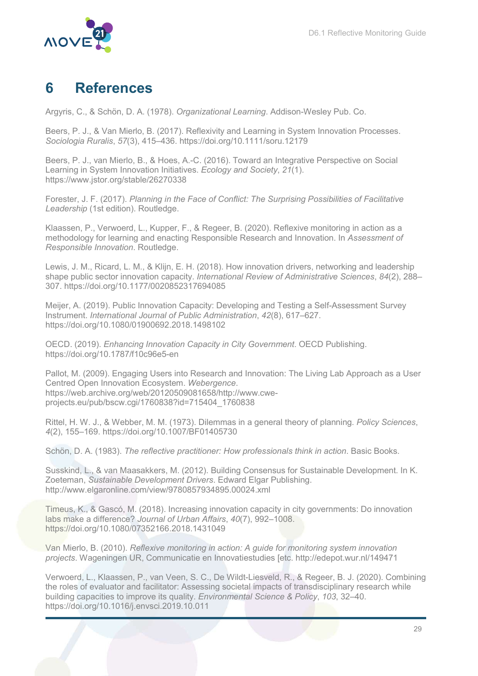

# 6 References

Argyris, C., & Schön, D. A. (1978). Organizational Learning. Addison-Wesley Pub. Co.

Beers, P. J., & Van Mierlo, B. (2017). Reflexivity and Learning in System Innovation Processes. Sociologia Ruralis, 57(3), 415–436. https://doi.org/10.1111/soru.12179

Beers, P. J., van Mierlo, B., & Hoes, A.-C. (2016). Toward an Integrative Perspective on Social Learning in System Innovation Initiatives. Ecology and Society, 21(1). https://www.jstor.org/stable/26270338

Forester, J. F. (2017). Planning in the Face of Conflict: The Surprising Possibilities of Facilitative Leadership (1st edition). Routledge.

Klaassen, P., Verwoerd, L., Kupper, F., & Regeer, B. (2020). Reflexive monitoring in action as a methodology for learning and enacting Responsible Research and Innovation. In Assessment of Responsible Innovation. Routledge.

Lewis, J. M., Ricard, L. M., & Klijn, E. H. (2018). How innovation drivers, networking and leadership shape public sector innovation capacity. International Review of Administrative Sciences, 84(2), 288– 307. https://doi.org/10.1177/0020852317694085

Meijer, A. (2019). Public Innovation Capacity: Developing and Testing a Self-Assessment Survey Instrument. International Journal of Public Administration, 42(8), 617–627. https://doi.org/10.1080/01900692.2018.1498102

OECD. (2019). Enhancing Innovation Capacity in City Government. OECD Publishing. https://doi.org/10.1787/f10c96e5-en

Pallot, M. (2009). Engaging Users into Research and Innovation: The Living Lab Approach as a User Centred Open Innovation Ecosystem. Webergence. https://web.archive.org/web/20120509081658/http://www.cweprojects.eu/pub/bscw.cgi/1760838?id=715404\_1760838

Rittel, H. W. J., & Webber, M. M. (1973). Dilemmas in a general theory of planning. Policy Sciences, 4(2), 155–169. https://doi.org/10.1007/BF01405730

Schön, D. A. (1983). The reflective practitioner: How professionals think in action. Basic Books.

Susskind, L., & van Maasakkers, M. (2012). Building Consensus for Sustainable Development. In K. Zoeteman, Sustainable Development Drivers. Edward Elgar Publishing. http://www.elgaronline.com/view/9780857934895.00024.xml

Timeus, K., & Gascó, M. (2018). Increasing innovation capacity in city governments: Do innovation labs make a difference? Journal of Urban Affairs, 40(7), 992–1008. https://doi.org/10.1080/07352166.2018.1431049

Van Mierlo, B. (2010). Reflexive monitoring in action: A guide for monitoring system innovation projects. Wageningen UR, Communicatie en Innovatiestudies [etc. http://edepot.wur.nl/149471

Verwoerd, L., Klaassen, P., van Veen, S. C., De Wildt-Liesveld, R., & Regeer, B. J. (2020). Combining the roles of evaluator and facilitator: Assessing societal impacts of transdisciplinary research while building capacities to improve its quality. Environmental Science & Policy, 103, 32–40. https://doi.org/10.1016/j.envsci.2019.10.011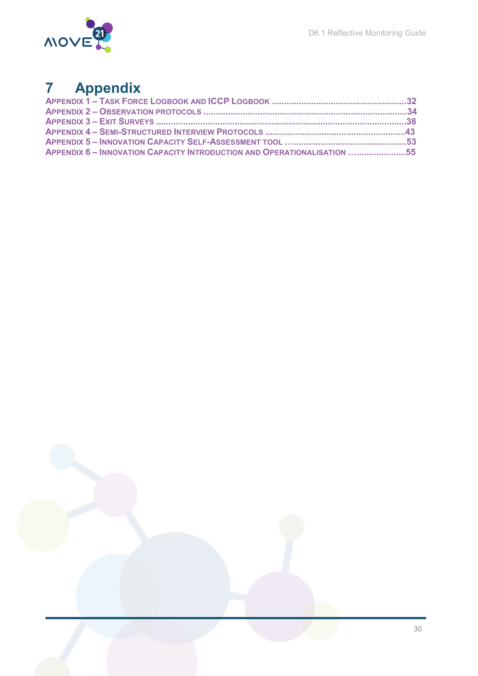

# 7 Appendix

| APPENDIX 6- INNOVATION CAPACITY INTRODUCTION AND OPERATIONALISATION 55 |  |
|------------------------------------------------------------------------|--|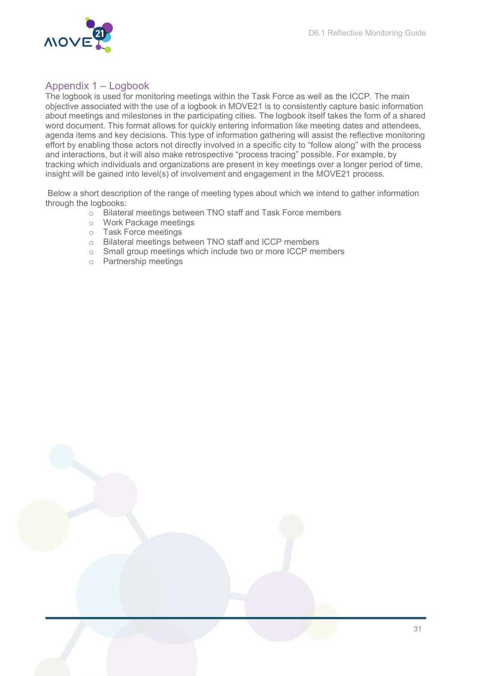

# Appendix 1 – Logbook

The logbook is used for monitoring meetings within the Task Force as well as the ICCP. The main objective associated with the use of a logbook in MOVE21 is to consistently capture basic information about meetings and milestones in the participating cities. The logbook itself takes the form of a shared word document. This format allows for quickly entering information like meeting dates and attendees, agenda items and key decisions. This type of information gathering will assist the reflective monitoring effort by enabling those actors not directly involved in a specific city to "follow along" with the process and interactions, but it will also make retrospective "process tracing" possible. For example, by tracking which individuals and organizations are present in key meetings over a longer period of time, insight will be gained into level(s) of involvement and engagement in the MOVE21 process.

 Below a short description of the range of meeting types about which we intend to gather information through the logbooks:

- o Bilateral meetings between TNO staff and Task Force members
- o Work Package meetings
- o Task Force meetings
- o Bilateral meetings between TNO staff and ICCP members
- o Small group meetings which include two or more ICCP members
- o Partnership meetings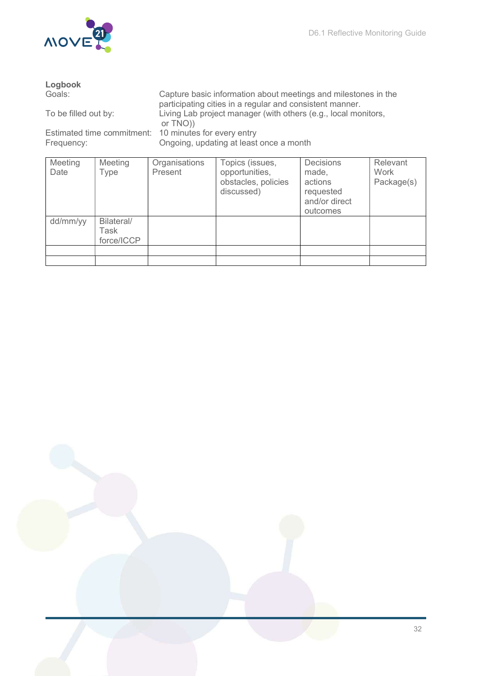

| Logbook                    |                                                    |          |                                                                                                                            |                                                                                |                                |  |  |  |  |  |
|----------------------------|----------------------------------------------------|----------|----------------------------------------------------------------------------------------------------------------------------|--------------------------------------------------------------------------------|--------------------------------|--|--|--|--|--|
| Goals:                     |                                                    |          | Capture basic information about meetings and milestones in the<br>participating cities in a regular and consistent manner. |                                                                                |                                |  |  |  |  |  |
| To be filled out by:       |                                                    | or TNO)) | Living Lab project manager (with others (e.g., local monitors,                                                             |                                                                                |                                |  |  |  |  |  |
| Estimated time commitment: |                                                    |          | 10 minutes for every entry                                                                                                 |                                                                                |                                |  |  |  |  |  |
| Frequency:                 |                                                    |          | Ongoing, updating at least once a month                                                                                    |                                                                                |                                |  |  |  |  |  |
| Meeting<br>Date            | Organisations<br>Meeting<br>Present<br><b>Type</b> |          | Topics (issues,<br>opportunities,<br>obstacles, policies<br>discussed)                                                     | <b>Decisions</b><br>made,<br>actions<br>requested<br>and/or direct<br>outcomes | Relevant<br>Work<br>Package(s) |  |  |  |  |  |
| dd/mm/yy                   | Bilateral/<br>Task<br>force/ICCP                   |          |                                                                                                                            |                                                                                |                                |  |  |  |  |  |
|                            |                                                    |          |                                                                                                                            |                                                                                |                                |  |  |  |  |  |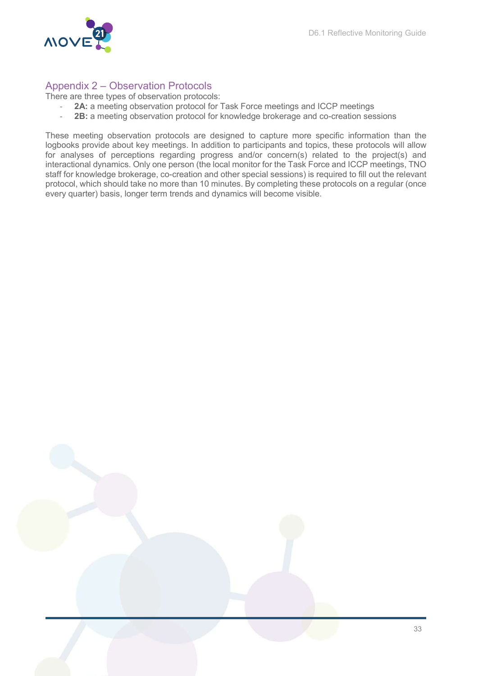

### Appendix 2 – Observation Protocols

There are three types of observation protocols:

- 2A: a meeting observation protocol for Task Force meetings and ICCP meetings
- 2B: a meeting observation protocol for knowledge brokerage and co-creation sessions

These meeting observation protocols are designed to capture more specific information than the logbooks provide about key meetings. In addition to participants and topics, these protocols will allow for analyses of perceptions regarding progress and/or concern(s) related to the project(s) and interactional dynamics. Only one person (the local monitor for the Task Force and ICCP meetings, TNO staff for knowledge brokerage, co-creation and other special sessions) is required to fill out the relevant protocol, which should take no more than 10 minutes. By completing these protocols on a regular (once every quarter) basis, longer term trends and dynamics will become visible.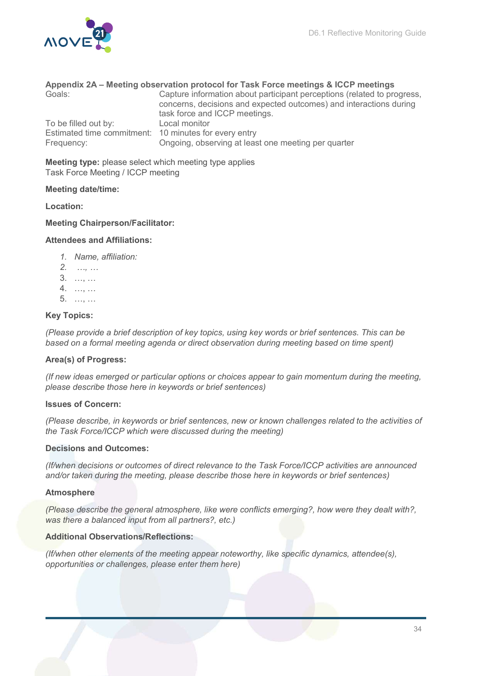

#### Appendix 2A – Meeting observation protocol for Task Force meetings & ICCP meetings

| Goals:                                                | Capture information about participant perceptions (related to progress,<br>concerns, decisions and expected outcomes) and interactions during<br>task force and ICCP meetings. |
|-------------------------------------------------------|--------------------------------------------------------------------------------------------------------------------------------------------------------------------------------|
| To be filled out by:                                  | Local monitor                                                                                                                                                                  |
| Estimated time commitment: 10 minutes for every entry |                                                                                                                                                                                |
| Frequency:                                            | Ongoing, observing at least one meeting per quarter                                                                                                                            |

Meeting type: please select which meeting type applies Task Force Meeting / ICCP meeting

#### Meeting date/time:

#### Location:

#### Meeting Chairperson/Facilitator:

#### Attendees and Affiliations:

- 1. Name, affiliation:
- 2. …, …
- 3. …, …
- 4. …, …
- 5. …, …

#### Key Topics:

(Please provide a brief description of key topics, using key words or brief sentences. This can be based on a formal meeting agenda or direct observation during meeting based on time spent)

#### Area(s) of Progress:

(If new ideas emerged or particular options or choices appear to gain momentum during the meeting, please describe those here in keywords or brief sentences)

#### Issues of Concern:

(Please describe, in keywords or brief sentences, new or known challenges related to the activities of the Task Force/ICCP which were discussed during the meeting)

#### Decisions and Outcomes:

(If/when decisions or outcomes of direct relevance to the Task Force/ICCP activities are announced and/or taken during the meeting, please describe those here in keywords or brief sentences)

#### Atmosphere

(Please describe the general atmosphere, like were conflicts emerging?, how were they dealt with?, was there a balanced input from all partners?, etc.)

#### Additional Observations/Reflections:

(If/when other elements of the meeting appear noteworthy, like specific dynamics, attendee(s), opportunities or challenges, please enter them here)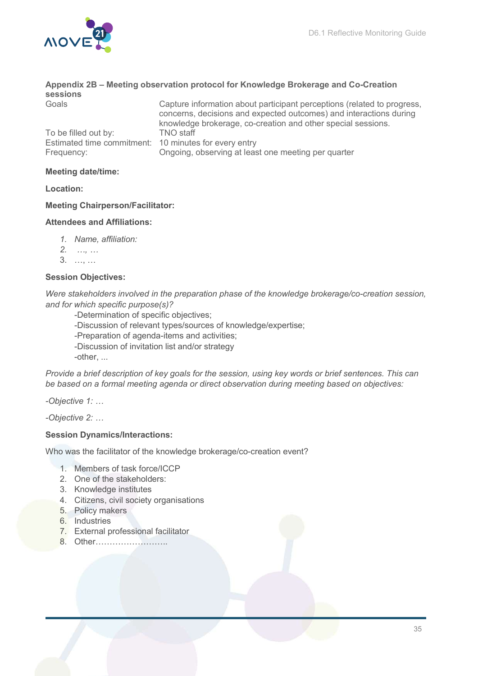

| sessions                                              | Appendix 2B – Meeting observation protocol for Knowledge Brokerage and Co-Creation                                                                                                                            |
|-------------------------------------------------------|---------------------------------------------------------------------------------------------------------------------------------------------------------------------------------------------------------------|
| Goals                                                 | Capture information about participant perceptions (related to progress,<br>concerns, decisions and expected outcomes) and interactions during<br>knowledge brokerage, co-creation and other special sessions. |
| To be filled out by:                                  | <b>TNO</b> staff                                                                                                                                                                                              |
| Estimated time commitment: 10 minutes for every entry |                                                                                                                                                                                                               |
| Frequency:                                            | Ongoing, observing at least one meeting per quarter                                                                                                                                                           |

#### Meeting date/time:

Location:

#### Meeting Chairperson/Facilitator:

#### Attendees and Affiliations:

- 1. Name, affiliation:
- 2. …, …
- 3. …, …

#### Session Objectives:

Were stakeholders involved in the preparation phase of the knowledge brokerage/co-creation session, and for which specific purpose(s)?

- -Determination of specific objectives;
- -Discussion of relevant types/sources of knowledge/expertise;
- -Preparation of agenda-items and activities;
- -Discussion of invitation list and/or strategy

-other, ...

Provide a brief description of key goals for the session, using key words or brief sentences. This can be based on a formal meeting agenda or direct observation during meeting based on objectives:

-Objective 1: …

-Objective 2: …

#### Session Dynamics/Interactions:

Who was the facilitator of the knowledge brokerage/co-creation event?

- 1. Members of task force/ICCP
- 2. One of the stakeholders:
- 3. Knowledge institutes
- 4. Citizens, civil society organisations
- 5. Policy makers
- 6. Industries
- 7. External professional facilitator
- 8. Other……………………..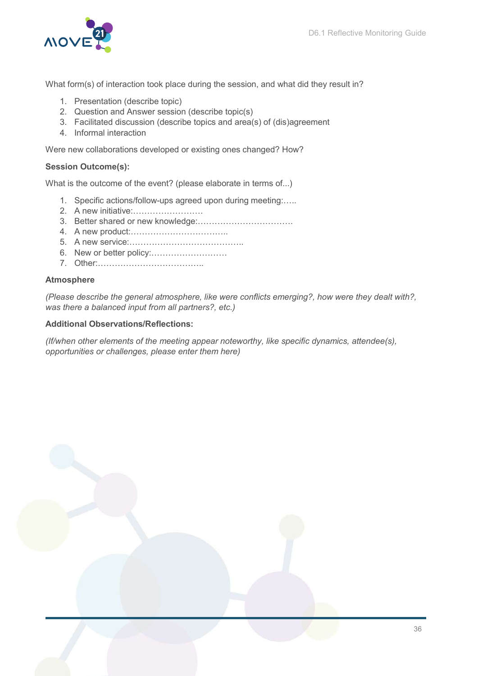

What form(s) of interaction took place during the session, and what did they result in?

- 1. Presentation (describe topic)
- 2. Question and Answer session (describe topic(s)
- 3. Facilitated discussion (describe topics and area(s) of (dis)agreement
- 4. Informal interaction

Were new collaborations developed or existing ones changed? How?

#### Session Outcome(s):

What is the outcome of the event? (please elaborate in terms of...)

- 1. Specific actions/follow-ups agreed upon during meeting:…..
- 2. A new initiative:…………………….
- 3. Better shared or new knowledge:…………………………….
- 4. A new product:……………………………..
- 5. A new service:…………………………………..
- 6. New or better policy:………………………
- 7. Other:………………………………..

#### **Atmosphere**

(Please describe the general atmosphere, like were conflicts emerging?, how were they dealt with?, was there a balanced input from all partners?, etc.)

### Additional Observations/Reflections:

(If/when other elements of the meeting appear noteworthy, like specific dynamics, attendee(s), opportunities or challenges, please enter them here)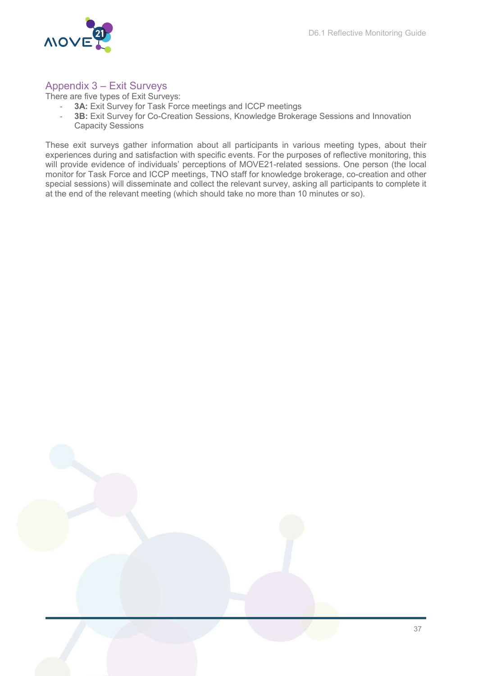

### Appendix 3 – Exit Surveys

There are five types of Exit Surveys:

- 3A: Exit Survey for Task Force meetings and ICCP meetings
- 3B: Exit Survey for Co-Creation Sessions, Knowledge Brokerage Sessions and Innovation Capacity Sessions

These exit surveys gather information about all participants in various meeting types, about their experiences during and satisfaction with specific events. For the purposes of reflective monitoring, this will provide evidence of individuals' perceptions of MOVE21-related sessions. One person (the local monitor for Task Force and ICCP meetings, TNO staff for knowledge brokerage, co-creation and other special sessions) will disseminate and collect the relevant survey, asking all participants to complete it at the end of the relevant meeting (which should take no more than 10 minutes or so).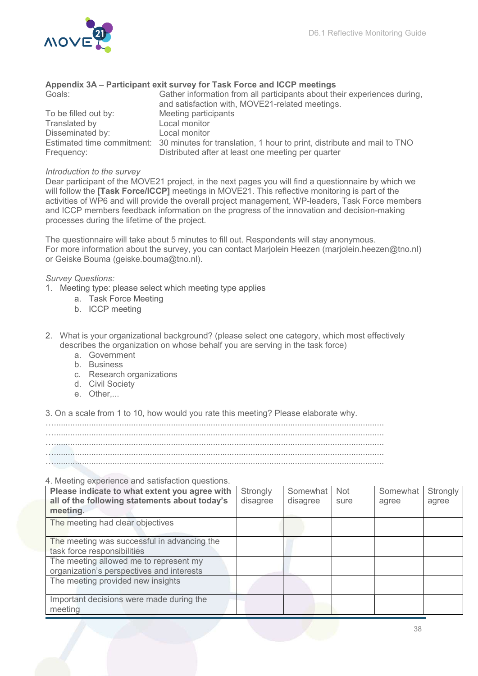#### Appendix 3A – Participant exit survey for Task Force and ICCP meetings

| Goals:               | Gather information from all participants about their experiences during,<br>and satisfaction with, MOVE21-related meetings. |
|----------------------|-----------------------------------------------------------------------------------------------------------------------------|
| To be filled out by: | Meeting participants                                                                                                        |
| Translated by        | Local monitor                                                                                                               |
| Disseminated by:     | Local monitor                                                                                                               |
|                      | Estimated time commitment: 30 minutes for translation, 1 hour to print, distribute and mail to TNO                          |
| Frequency:           | Distributed after at least one meeting per quarter                                                                          |

#### Introduction to the survey

Dear participant of the MOVE21 project, in the next pages you will find a questionnaire by which we will follow the **[Task Force/ICCP]** meetings in MOVE21. This reflective monitoring is part of the activities of WP6 and will provide the overall project management, WP-leaders, Task Force members and ICCP members feedback information on the progress of the innovation and decision-making processes during the lifetime of the project.

The questionnaire will take about 5 minutes to fill out. Respondents will stay anonymous. For more information about the survey, you can contact Marjolein Heezen (marjolein heezen@tno.nl) or Geiske Bouma (geiske.bouma@tno.nl).

#### Survey Questions:

- 1. Meeting type: please select which meeting type applies
	- a. Task Force Meeting
	- b. ICCP meeting
- 2. What is your organizational background? (please select one category, which most effectively describes the organization on whose behalf you are serving in the task force)
	- a. Government
	- b. Business
	- c. Research organizations
	- d. Civil Society
	- e. Other....

3. On a scale from 1 to 10, how would you rate this meeting? Please elaborate why.

…............................................................................................................................................. …............................................................................................................................................. ….............................................................................................................................................

#### 4. Meeting experience and satisfaction questions.

| Please indicate to what extent you agree with | Strongly | Somewhat | <b>Not</b> | Somewhat | Strongly I |
|-----------------------------------------------|----------|----------|------------|----------|------------|
| all of the following statements about today's | disagree | disagree | sure       | agree    | agree      |
| meeting.                                      |          |          |            |          |            |
| The meeting had clear objectives              |          |          |            |          |            |
|                                               |          |          |            |          |            |
| The meeting was successful in advancing the   |          |          |            |          |            |
| task force responsibilities                   |          |          |            |          |            |
| The meeting allowed me to represent my        |          |          |            |          |            |
| organization's perspectives and interests     |          |          |            |          |            |
| The meeting provided new insights             |          |          |            |          |            |
|                                               |          |          |            |          |            |
| Important decisions were made during the      |          |          |            |          |            |
| meeting                                       |          |          |            |          |            |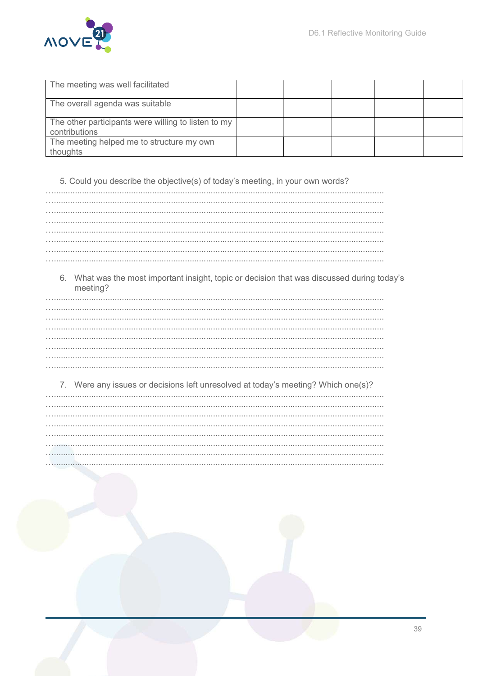

| The meeting was well facilitated                                     |  |  |  |
|----------------------------------------------------------------------|--|--|--|
| The overall agenda was suitable                                      |  |  |  |
| The other participants were willing to listen to my<br>contributions |  |  |  |
| The meeting helped me to structure my own<br>thoughts                |  |  |  |

5. Could you describe the objective(s) of today's meeting, in your own words?

6. What was the most important insight, topic or decision that was discussed during today's meeting?

7. Were any issues or decisions left unresolved at today's meeting? Which one(s)? à.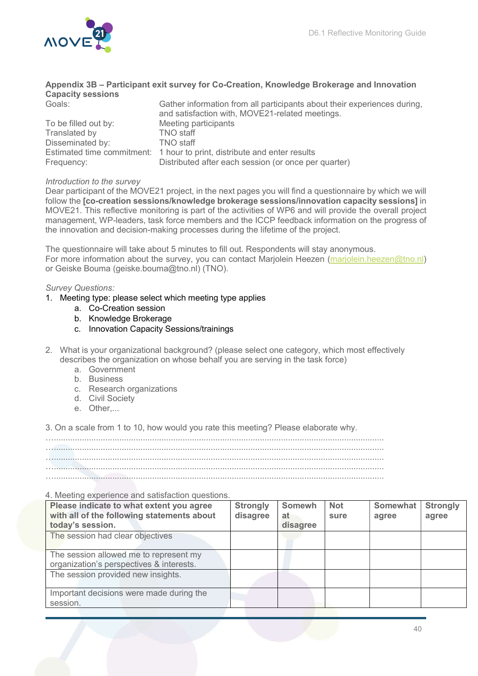

|                          | Appendix 3B – Participant exit survey for Co-Creation, Knowledge Brokerage and Innovation                                   |
|--------------------------|-----------------------------------------------------------------------------------------------------------------------------|
| <b>Capacity sessions</b> |                                                                                                                             |
| Goals:                   | Gather information from all participants about their experiences during,<br>and satisfaction with, MOVE21-related meetings. |
| To be filled out by:     | Meeting participants                                                                                                        |
| Translated by            | <b>TNO</b> staff                                                                                                            |
| Disseminated by:         | <b>TNO</b> staff                                                                                                            |
|                          | Estimated time commitment: 1 hour to print, distribute and enter results                                                    |
| Frequency:               | Distributed after each session (or once per quarter)                                                                        |

#### Introduction to the survey

Dear participant of the MOVE21 project, in the next pages you will find a questionnaire by which we will follow the [co-creation sessions/knowledge brokerage sessions/innovation capacity sessions] in MOVE21. This reflective monitoring is part of the activities of WP6 and will provide the overall project management, WP-leaders, task force members and the ICCP feedback information on the progress of the innovation and decision-making processes during the lifetime of the project.

The questionnaire will take about 5 minutes to fill out. Respondents will stay anonymous. For more information about the survey, you can contact Marjolein Heezen (marjolein.heezen@tno.nl) or Geiske Bouma (geiske.bouma@tno.nl) (TNO).

#### Survey Questions:

- 1. Meeting type: please select which meeting type applies
	- a. Co-Creation session
	- b. Knowledge Brokerage
	- c. Innovation Capacity Sessions/trainings
- 2. What is your organizational background? (please select one category, which most effectively describes the organization on whose behalf you are serving in the task force)
	- a. Government
	- b. Business
	- c. Research organizations
	- d. Civil Society
	- e. Other....

3. On a scale from 1 to 10, how would you rate this meeting? Please elaborate why.

…............................................................................................................................................. …............................................................................................................................................. …............................................................................................................................................. ….............................................................................................................................................

#### 4. Meeting experience and satisfaction questions.

| 4. Meeting experience and satisfaction questions.<br>Please indicate to what extent you agree<br>with all of the following statements about | <b>Strongly</b> | <b>Somewh</b>  | <b>Not</b> | <b>Somewhat</b> | <b>Strongly</b> |
|---------------------------------------------------------------------------------------------------------------------------------------------|-----------------|----------------|------------|-----------------|-----------------|
| today's session.                                                                                                                            | disagree        | at<br>disagree | sure       | agree           | agree           |
| The session had clear objectives                                                                                                            |                 |                |            |                 |                 |
| The session allowed me to represent my<br>organization's perspectives & interests.                                                          |                 |                |            |                 |                 |
| The session provided new insights.                                                                                                          |                 |                |            |                 |                 |
| Important decisions were made during the<br>session.                                                                                        |                 |                |            |                 |                 |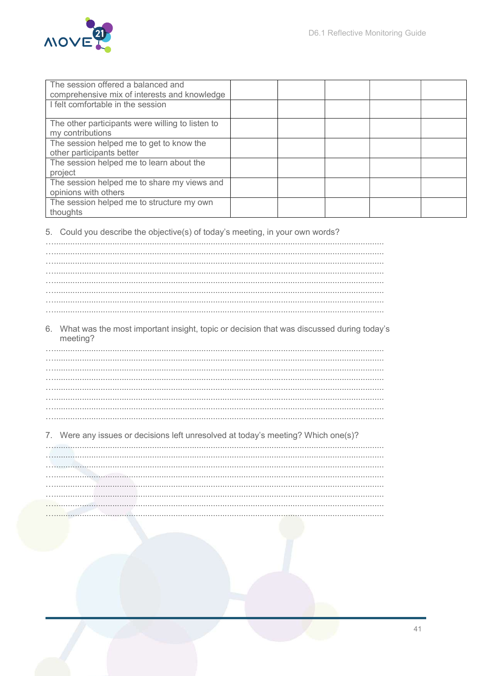

| The session offered a balanced and<br>comprehensive mix of interests and knowledge |  |  |  |
|------------------------------------------------------------------------------------|--|--|--|
| I felt comfortable in the session                                                  |  |  |  |
| The other participants were willing to listen to<br>my contributions               |  |  |  |
| The session helped me to get to know the<br>other participants better              |  |  |  |
| The session helped me to learn about the<br>project                                |  |  |  |
| The session helped me to share my views and<br>opinions with others                |  |  |  |
| The session helped me to structure my own<br>thoughts                              |  |  |  |

5. Could you describe the objective(s) of today's meeting, in your own words?

6. What was the most important insight, topic or decision that was discussed during today's meeting?

 $\ddotsc$  $\cdots$ 

#### 7. Were any issues or decisions left unresolved at today's meeting? Which one(s)?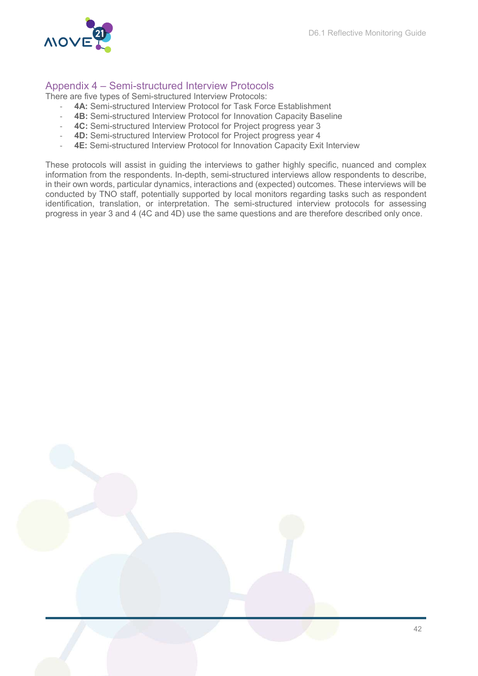

### Appendix 4 – Semi-structured Interview Protocols

There are five types of Semi-structured Interview Protocols:

- 4A: Semi-structured Interview Protocol for Task Force Establishment
- 4B: Semi-structured Interview Protocol for Innovation Capacity Baseline
- 4C: Semi-structured Interview Protocol for Project progress year 3
- 4D: Semi-structured Interview Protocol for Project progress year 4
- **4E:** Semi-structured Interview Protocol for Innovation Capacity Exit Interview

These protocols will assist in guiding the interviews to gather highly specific, nuanced and complex information from the respondents. In-depth, semi-structured interviews allow respondents to describe, in their own words, particular dynamics, interactions and (expected) outcomes. These interviews will be conducted by TNO staff, potentially supported by local monitors regarding tasks such as respondent identification, translation, or interpretation. The semi-structured interview protocols for assessing progress in year 3 and 4 (4C and 4D) use the same questions and are therefore described only once.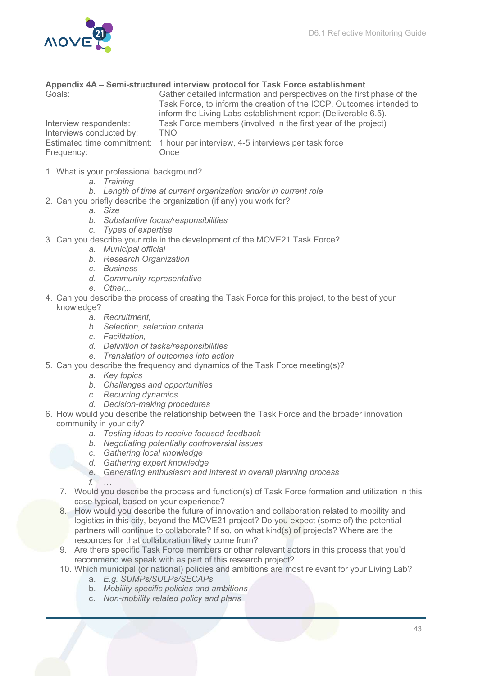

#### Appendix 4A – Semi-structured interview protocol for Task Force establishment

| Goals:                                                           | Gather detailed information and perspectives on the first phase of the<br>Task Force, to inform the creation of the ICCP. Outcomes intended to<br>inform the Living Labs establishment report (Deliverable 6.5). |
|------------------------------------------------------------------|------------------------------------------------------------------------------------------------------------------------------------------------------------------------------------------------------------------|
| Interview respondents:<br>Interviews conducted by:<br>Frequency: | Task Force members (involved in the first year of the project)<br><b>TNO</b><br>Estimated time commitment: 1 hour per interview, 4-5 interviews per task force<br>Once                                           |

- 1. What is your professional background?
	- a. Training
	- b. Length of time at current organization and/or in current role
- 2. Can you briefly describe the organization (if any) you work for?
	- a. Size
	- b. Substantive focus/responsibilities
	- c. Types of expertise
- 3. Can you describe your role in the development of the MOVE21 Task Force?
	- a. Municipal official
	- b. Research Organization
	- c. Business
	- d. Community representative
	- e. Other...
- 4. Can you describe the process of creating the Task Force for this project, to the best of your knowledge?
	- a. Recruitment,
	- b. Selection, selection criteria
	- c. Facilitation,
	- d. Definition of tasks/responsibilities
	- e. Translation of outcomes into action
- 5. Can you describe the frequency and dynamics of the Task Force meeting(s)?
	- a. Key topics
	- b. Challenges and opportunities
	- c. Recurring dynamics
	- d. Decision-making procedures
- 6. How would you describe the relationship between the Task Force and the broader innovation community in your city?
	- a. Testing ideas to receive focused feedback
	- b. Negotiating potentially controversial issues
	- c. Gathering local knowledge
	- d. Gathering expert knowledge
	- e. Generating enthusiasm and interest in overall planning process f. …
	- 7. Would you describe the process and function(s) of Task Force formation and utilization in this case typical, based on your experience?
	- 8. How would you describe the future of innovation and collaboration related to mobility and logistics in this city, beyond the MOVE21 project? Do you expect (some of) the potential partners will continue to collaborate? If so, on what kind(s) of projects? Where are the resources for that collaboration likely come from?
	- 9. Are there specific Task Force members or other relevant actors in this process that you'd recommend we speak with as part of this research project?
	- 10. Which municipal (or national) policies and ambitions are most relevant for your Living Lab?
		- a. E.g. SUMPs/SULPs/SECAPs
		- b. Mobility specific policies and ambitions
		- c. Non-mobility related policy and plans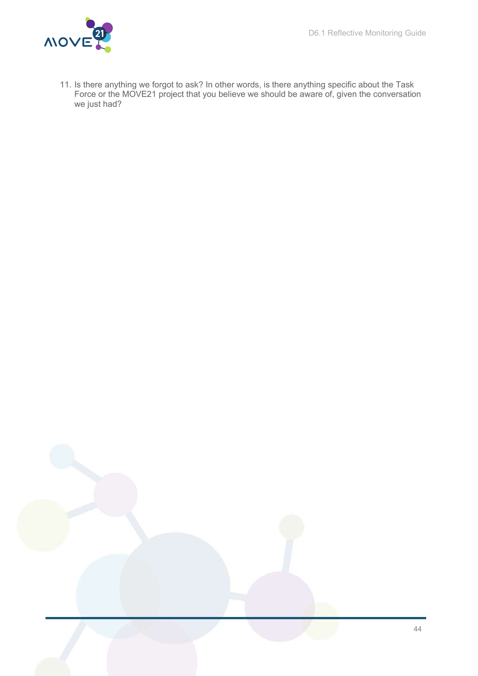

11. Is there anything we forgot to ask? In other words, is there anything specific about the Task Force or the MOVE21 project that you believe we should be aware of, given the conversation we just had?

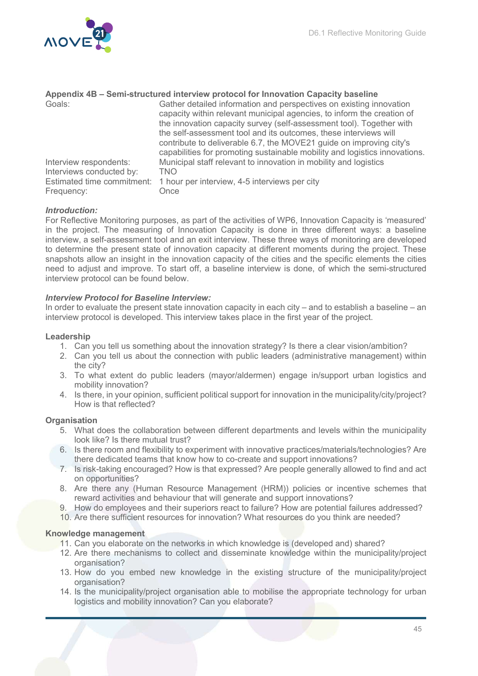

| Appendix 4B – Semi-structured interview protocol for Innovation Capacity baseline |                                                                            |  |
|-----------------------------------------------------------------------------------|----------------------------------------------------------------------------|--|
| Goals:                                                                            | Gather detailed information and perspectives on existing innovation        |  |
|                                                                                   | capacity within relevant municipal agencies, to inform the creation of     |  |
|                                                                                   | the innovation capacity survey (self-assessment tool). Together with       |  |
|                                                                                   | the self-assessment tool and its outcomes, these interviews will           |  |
|                                                                                   | contribute to deliverable 6.7, the MOVE21 guide on improving city's        |  |
|                                                                                   | capabilities for promoting sustainable mobility and logistics innovations. |  |
| Interview respondents:                                                            | Municipal staff relevant to innovation in mobility and logistics           |  |
| Interviews conducted by:                                                          | <b>TNO</b>                                                                 |  |
|                                                                                   | Estimated time commitment: 1 hour per interview, 4-5 interviews per city   |  |
| Frequency:                                                                        | Once                                                                       |  |

#### Introduction:

For Reflective Monitoring purposes, as part of the activities of WP6, Innovation Capacity is 'measured' in the project. The measuring of Innovation Capacity is done in three different ways: a baseline interview, a self-assessment tool and an exit interview. These three ways of monitoring are developed to determine the present state of innovation capacity at different moments during the project. These snapshots allow an insight in the innovation capacity of the cities and the specific elements the cities need to adjust and improve. To start off, a baseline interview is done, of which the semi-structured interview protocol can be found below.

#### Interview Protocol for Baseline Interview:

In order to evaluate the present state innovation capacity in each city – and to establish a baseline – an interview protocol is developed. This interview takes place in the first year of the project.

#### Leadership

- 1. Can you tell us something about the innovation strategy? Is there a clear vision/ambition?
- 2. Can you tell us about the connection with public leaders (administrative management) within the city?
- 3. To what extent do public leaders (mayor/aldermen) engage in/support urban logistics and mobility innovation?
- 4. Is there, in your opinion, sufficient political support for innovation in the municipality/city/project? How is that reflected?

#### **Organisation**

- 5. What does the collaboration between different departments and levels within the municipality look like? Is there mutual trust?
- 6. Is there room and flexibility to experiment with innovative practices/materials/technologies? Are there dedicated teams that know how to co-create and support innovations?
- 7. Is risk-taking encouraged? How is that expressed? Are people generally allowed to find and act on opportunities?
- 8. Are there any (Human Resource Management (HRM)) policies or incentive schemes that reward activities and behaviour that will generate and support innovations?
- 9. How do employees and their superiors react to failure? How are potential failures addressed?
- 10. Are there sufficient resources for innovation? What resources do you think are needed?

#### Knowledge management

- 11. Can you elaborate on the networks in which knowledge is (developed and) shared?
- 12. Are there mechanisms to collect and disseminate knowledge within the municipality/project organisation?
- 13. How do you embed new knowledge in the existing structure of the municipality/project organisation?
- 14. Is the municipality/project organisation able to mobilise the appropriate technology for urban logistics and mobility innovation? Can you elaborate?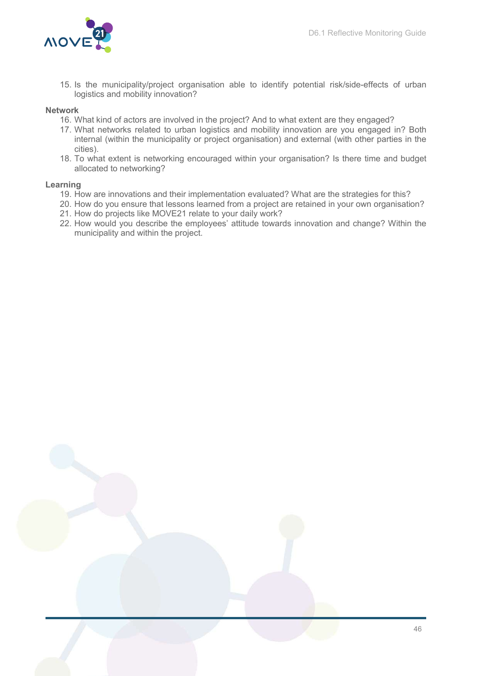

15. Is the municipality/project organisation able to identify potential risk/side-effects of urban logistics and mobility innovation?

#### Network

- 16. What kind of actors are involved in the project? And to what extent are they engaged?
- 17. What networks related to urban logistics and mobility innovation are you engaged in? Both internal (within the municipality or project organisation) and external (with other parties in the cities).
- 18. To what extent is networking encouraged within your organisation? Is there time and budget allocated to networking?

#### Learning

- 19. How are innovations and their implementation evaluated? What are the strategies for this?
- 20. How do you ensure that lessons learned from a project are retained in your own organisation?
- 21. How do projects like MOVE21 relate to your daily work?
- 22. How would you describe the employees' attitude towards innovation and change? Within the municipality and within the project.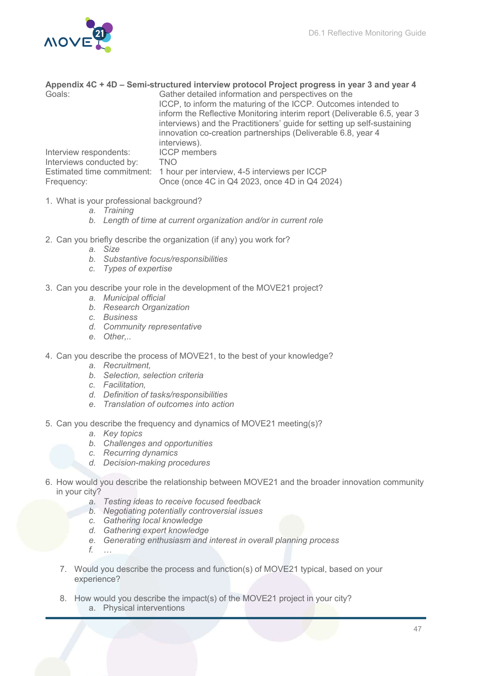

|                            | Appendix 4C + 4D - Semi-structured interview protocol Project progress in year 3 and year 4                                                                                                                                                                                                                                                                  |
|----------------------------|--------------------------------------------------------------------------------------------------------------------------------------------------------------------------------------------------------------------------------------------------------------------------------------------------------------------------------------------------------------|
| Goals:                     | Gather detailed information and perspectives on the<br>ICCP, to inform the maturing of the ICCP. Outcomes intended to<br>inform the Reflective Monitoring interim report (Deliverable 6.5, year 3<br>interviews) and the Practitioners' guide for setting up self-sustaining<br>innovation co-creation partnerships (Deliverable 6.8, year 4<br>interviews). |
| Interview respondents:     | <b>ICCP</b> members                                                                                                                                                                                                                                                                                                                                          |
| Interviews conducted by:   | <b>TNO</b>                                                                                                                                                                                                                                                                                                                                                   |
| Estimated time commitment: | 1 hour per interview, 4-5 interviews per ICCP                                                                                                                                                                                                                                                                                                                |
| Frequency:                 | Once (once 4C in Q4 2023, once 4D in Q4 2024)                                                                                                                                                                                                                                                                                                                |

- 1. What is your professional background?
	- a. Training
	- b. Length of time at current organization and/or in current role
- 2. Can you briefly describe the organization (if any) you work for?
	- a. Size
	- b. Substantive focus/responsibilities
	- c. Types of expertise
- 3. Can you describe your role in the development of the MOVE21 project?
	- a. Municipal official
	- b. Research Organization
	- c. Business
	- d. Community representative
	- e. Other,..
- 4. Can you describe the process of MOVE21, to the best of your knowledge?
	- a. Recruitment,
	- b. Selection, selection criteria
	- c. Facilitation,
	- d. Definition of tasks/responsibilities
	- e. Translation of outcomes into action
- 5. Can you describe the frequency and dynamics of MOVE21 meeting(s)?
	- a. Key topics
	- b. Challenges and opportunities
	- c. Recurring dynamics
	- d. Decision-making procedures
- 6. How would you describe the relationship between MOVE21 and the broader innovation community in your city?
	- a. Testing ideas to receive focused feedback
	- b. Negotiating potentially controversial issues
	- c. Gathering local knowledge
	- d. Gathering expert knowledge
	- e. Generating enthusiasm and interest in overall planning process
	- $f_{n}$
	- 7. Would you describe the process and function(s) of MOVE21 typical, based on your experience?
	- 8. How would you describe the impact(s) of the MOVE21 project in your city? a. Physical interventions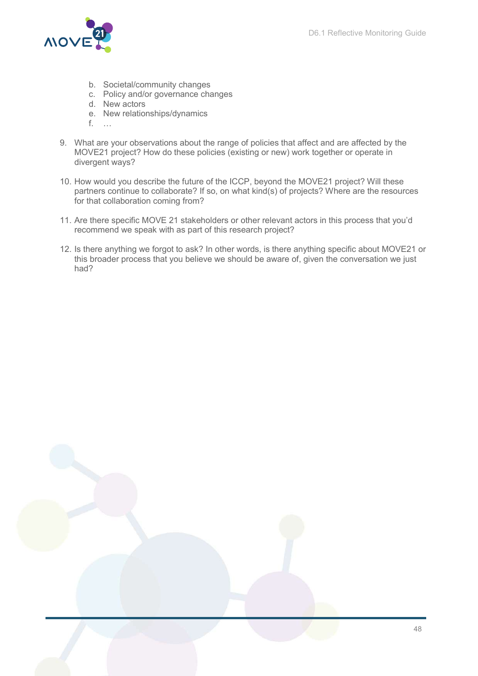

- b. Societal/community changes
- c. Policy and/or governance changes
- d. New actors
- e. New relationships/dynamics
- f. …
- 9. What are your observations about the range of policies that affect and are affected by the MOVE21 project? How do these policies (existing or new) work together or operate in divergent ways?
- 10. How would you describe the future of the ICCP, beyond the MOVE21 project? Will these partners continue to collaborate? If so, on what kind(s) of projects? Where are the resources for that collaboration coming from?
- 11. Are there specific MOVE 21 stakeholders or other relevant actors in this process that you'd recommend we speak with as part of this research project?
- 12. Is there anything we forgot to ask? In other words, is there anything specific about MOVE21 or this broader process that you believe we should be aware of, given the conversation we just had?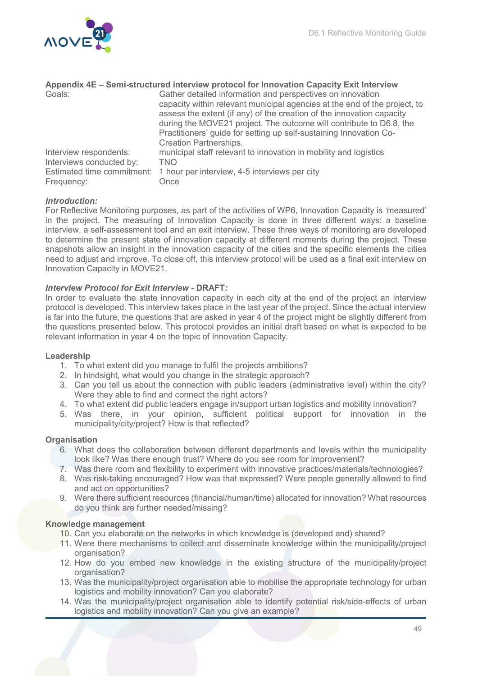

| Appendix 4E - Semi-structured interview protocol for Innovation Capacity Exit Interview |                                                                           |  |
|-----------------------------------------------------------------------------------------|---------------------------------------------------------------------------|--|
| Goals:                                                                                  | Gather detailed information and perspectives on innovation                |  |
|                                                                                         | capacity within relevant municipal agencies at the end of the project, to |  |
|                                                                                         | assess the extent (if any) of the creation of the innovation capacity     |  |
|                                                                                         | during the MOVE21 project. The outcome will contribute to D6.8, the       |  |
|                                                                                         | Practitioners' guide for setting up self-sustaining Innovation Co-        |  |
|                                                                                         | <b>Creation Partnerships.</b>                                             |  |
| Interview respondents:                                                                  | municipal staff relevant to innovation in mobility and logistics          |  |
| Interviews conducted by:                                                                | <b>TNO</b>                                                                |  |
| Estimated time commitment:                                                              | 1 hour per interview, 4-5 interviews per city                             |  |
| Frequency:                                                                              | Once                                                                      |  |

#### Introduction:

For Reflective Monitoring purposes, as part of the activities of WP6, Innovation Capacity is 'measured' in the project. The measuring of Innovation Capacity is done in three different ways: a baseline interview, a self-assessment tool and an exit interview. These three ways of monitoring are developed to determine the present state of innovation capacity at different moments during the project. These snapshots allow an insight in the innovation capacity of the cities and the specific elements the cities need to adjust and improve. To close off, this interview protocol will be used as a final exit interview on Innovation Capacity in MOVE21.

#### Interview Protocol for Exit Interview - DRAFT:

In order to evaluate the state innovation capacity in each city at the end of the project an interview protocol is developed. This interview takes place in the last year of the project. Since the actual interview is far into the future, the questions that are asked in year 4 of the project might be slightly different from the questions presented below. This protocol provides an initial draft based on what is expected to be relevant information in year 4 on the topic of Innovation Capacity.

#### Leadership

- 1. To what extent did you manage to fulfil the projects ambitions?
- 2. In hindsight, what would you change in the strategic approach?
- 3. Can you tell us about the connection with public leaders (administrative level) within the city? Were they able to find and connect the right actors?
- 4. To what extent did public leaders engage in/support urban logistics and mobility innovation?
- 5. Was there, in your opinion, sufficient political support for innovation in the municipality/city/project? How is that reflected?

#### **Organisation**

- 6. What does the collaboration between different departments and levels within the municipality look like? Was there enough trust? Where do you see room for improvement?
- 7. Was there room and flexibility to experiment with innovative practices/materials/technologies?
- 8. Was risk-taking encouraged? How was that expressed? Were people generally allowed to find and act on opportunities?
- 9. Were there sufficient resources (financial/human/time) allocated for innovation? What resources do you think are further needed/missing?

#### Knowledge management

- 10. Can you elaborate on the networks in which knowledge is (developed and) shared?
- 11. Were there mechanisms to collect and disseminate knowledge within the municipality/project organisation?
- 12. How do you embed new knowledge in the existing structure of the municipality/project organisation?
- 13. Was the municipality/project organisation able to mobilise the appropriate technology for urban logistics and mobility innovation? Can you elaborate?
- 14. Was the municipality/project organisation able to identify potential risk/side-effects of urban logistics and mobility innovation? Can you give an example?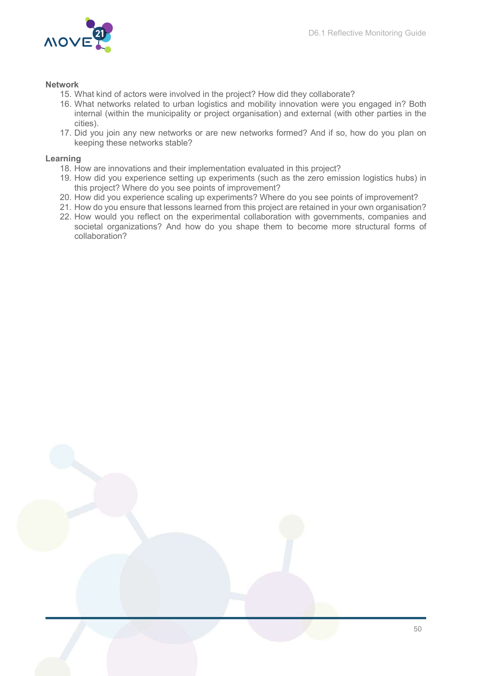

#### Network

- 15. What kind of actors were involved in the project? How did they collaborate?
- 16. What networks related to urban logistics and mobility innovation were you engaged in? Both internal (within the municipality or project organisation) and external (with other parties in the cities).
- 17. Did you join any new networks or are new networks formed? And if so, how do you plan on keeping these networks stable?

#### Learning

- 18. How are innovations and their implementation evaluated in this project?
- 19. How did you experience setting up experiments (such as the zero emission logistics hubs) in this project? Where do you see points of improvement?
- 20. How did you experience scaling up experiments? Where do you see points of improvement?
- 21. How do you ensure that lessons learned from this project are retained in your own organisation?
- 22. How would you reflect on the experimental collaboration with governments, companies and societal organizations? And how do you shape them to become more structural forms of collaboration?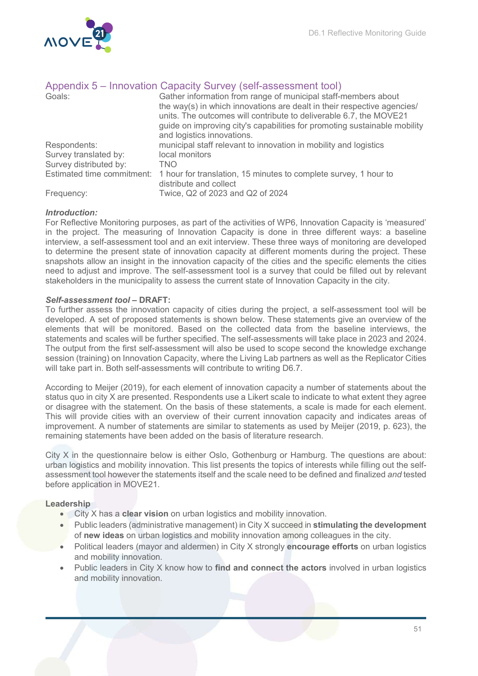

|                        | Appendix 5 – Innovation Capacity Survey (self-assessment tool)                                                                                                                                                             |
|------------------------|----------------------------------------------------------------------------------------------------------------------------------------------------------------------------------------------------------------------------|
| Goals:                 | Gather information from range of municipal staff-members about                                                                                                                                                             |
|                        | the way(s) in which innovations are dealt in their respective agencies/<br>units. The outcomes will contribute to deliverable 6.7, the MOVE21<br>guide on improving city's capabilities for promoting sustainable mobility |
|                        | and logistics innovations.                                                                                                                                                                                                 |
|                        |                                                                                                                                                                                                                            |
| Respondents:           | municipal staff relevant to innovation in mobility and logistics                                                                                                                                                           |
| Survey translated by:  | local monitors                                                                                                                                                                                                             |
| Survey distributed by: | TNO                                                                                                                                                                                                                        |
|                        | Estimated time commitment: 1 hour for translation, 15 minutes to complete survey, 1 hour to                                                                                                                                |
|                        | distribute and collect                                                                                                                                                                                                     |
| Frequency:             | Twice, Q2 of 2023 and Q2 of 2024                                                                                                                                                                                           |

# Appendix 5 – Innovation Capacity Survey (self-assessment tool)

# Introduction:

For Reflective Monitoring purposes, as part of the activities of WP6, Innovation Capacity is 'measured' in the project. The measuring of Innovation Capacity is done in three different ways: a baseline interview, a self-assessment tool and an exit interview. These three ways of monitoring are developed to determine the present state of innovation capacity at different moments during the project. These snapshots allow an insight in the innovation capacity of the cities and the specific elements the cities need to adjust and improve. The self-assessment tool is a survey that could be filled out by relevant stakeholders in the municipality to assess the current state of Innovation Capacity in the city.

#### Self-assessment tool – DRAFT:

To further assess the innovation capacity of cities during the project, a self-assessment tool will be developed. A set of proposed statements is shown below. These statements give an overview of the elements that will be monitored. Based on the collected data from the baseline interviews, the statements and scales will be further specified. The self-assessments will take place in 2023 and 2024. The output from the first self-assessment will also be used to scope second the knowledge exchange session (training) on Innovation Capacity, where the Living Lab partners as well as the Replicator Cities will take part in. Both self-assessments will contribute to writing D6.7.

According to Meijer (2019), for each element of innovation capacity a number of statements about the status quo in city X are presented. Respondents use a Likert scale to indicate to what extent they agree or disagree with the statement. On the basis of these statements, a scale is made for each element. This will provide cities with an overview of their current innovation capacity and indicates areas of improvement. A number of statements are similar to statements as used by Meijer (2019, p. 623), the remaining statements have been added on the basis of literature research.

City X in the questionnaire below is either Oslo, Gothenburg or Hamburg. The questions are about: urban logistics and mobility innovation. This list presents the topics of interests while filling out the selfassessment tool however the statements itself and the scale need to be defined and finalized and tested before application in MOVE21.

#### Leadership

- **City X has a clear vision** on urban logistics and mobility innovation.
- Public leaders (administrative management) in City X succeed in stimulating the development of new ideas on urban logistics and mobility innovation among colleagues in the city.
- Political leaders (mayor and aldermen) in City X strongly encourage efforts on urban logistics and mobility innovation.
- Public leaders in City X know how to find and connect the actors involved in urban logistics and mobility innovation.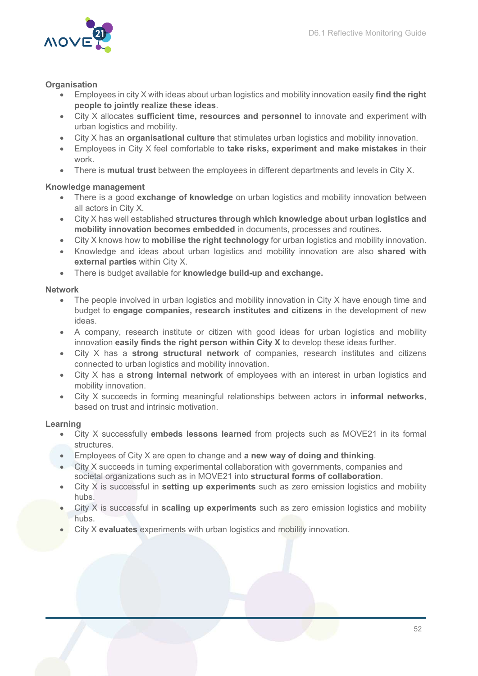

#### **Organisation**

- Employees in city X with ideas about urban logistics and mobility innovation easily find the right people to jointly realize these ideas.
- City X allocates sufficient time, resources and personnel to innovate and experiment with urban logistics and mobility.
- City X has an **organisational culture** that stimulates urban logistics and mobility innovation.
- Employees in City X feel comfortable to take risks, experiment and make mistakes in their work.
- There is **mutual trust** between the employees in different departments and levels in City X.

#### Knowledge management

- There is a good exchange of knowledge on urban logistics and mobility innovation between all actors in City X.
- City X has well established structures through which knowledge about urban logistics and mobility innovation becomes embedded in documents, processes and routines.
- City X knows how to **mobilise the right technology** for urban logistics and mobility innovation.
- Knowledge and ideas about urban logistics and mobility innovation are also shared with external parties within City X.
- There is budget available for knowledge build-up and exchange.

#### Network

- The people involved in urban logistics and mobility innovation in City X have enough time and budget to engage companies, research institutes and citizens in the development of new ideas.
- A company, research institute or citizen with good ideas for urban logistics and mobility innovation easily finds the right person within  $City X$  to develop these ideas further.
- City X has a strong structural network of companies, research institutes and citizens connected to urban logistics and mobility innovation.
- City X has a strong internal network of employees with an interest in urban logistics and mobility innovation.
- City X succeeds in forming meaningful relationships between actors in informal networks, based on trust and intrinsic motivation.

#### Learning

- City X successfully embeds lessons learned from projects such as MOVE21 in its formal structures.
- Employees of City X are open to change and a new way of doing and thinking.
- City X succeeds in turning experimental collaboration with governments, companies and societal organizations such as in MOVE21 into structural forms of collaboration.
- City X is successful in **setting up experiments** such as zero emission logistics and mobility hubs.
- City X is successful in **scaling up experiments** such as zero emission logistics and mobility hubs.
- City X evaluates experiments with urban logistics and mobility innovation.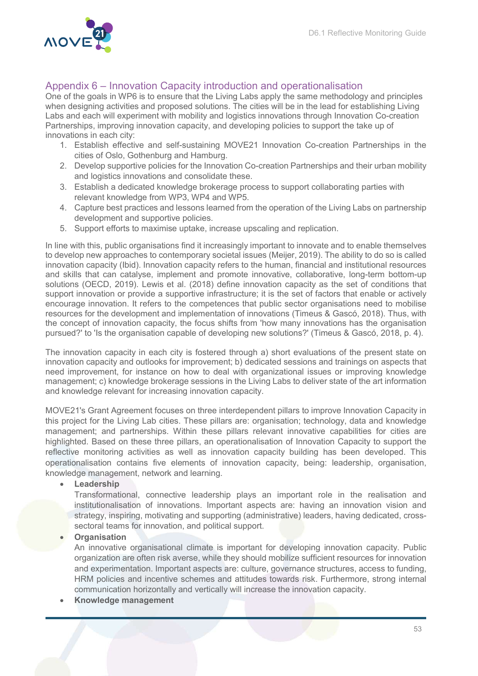

### Appendix 6 – Innovation Capacity introduction and operationalisation

One of the goals in WP6 is to ensure that the Living Labs apply the same methodology and principles when designing activities and proposed solutions. The cities will be in the lead for establishing Living Labs and each will experiment with mobility and logistics innovations through Innovation Co-creation Partnerships, improving innovation capacity, and developing policies to support the take up of innovations in each city:

- 1. Establish effective and self-sustaining MOVE21 Innovation Co-creation Partnerships in the cities of Oslo, Gothenburg and Hamburg.
- 2. Develop supportive policies for the Innovation Co-creation Partnerships and their urban mobility and logistics innovations and consolidate these.
- 3. Establish a dedicated knowledge brokerage process to support collaborating parties with relevant knowledge from WP3, WP4 and WP5.
- 4. Capture best practices and lessons learned from the operation of the Living Labs on partnership development and supportive policies.
- 5. Support efforts to maximise uptake, increase upscaling and replication.

In line with this, public organisations find it increasingly important to innovate and to enable themselves to develop new approaches to contemporary societal issues (Meijer, 2019). The ability to do so is called innovation capacity (Ibid). Innovation capacity refers to the human, financial and institutional resources and skills that can catalyse, implement and promote innovative, collaborative, long-term bottom-up solutions (OECD, 2019). Lewis et al. (2018) define innovation capacity as the set of conditions that support innovation or provide a supportive infrastructure; it is the set of factors that enable or actively encourage innovation. It refers to the competences that public sector organisations need to mobilise resources for the development and implementation of innovations (Timeus & Gascó, 2018). Thus, with the concept of innovation capacity, the focus shifts from 'how many innovations has the organisation pursued?' to 'Is the organisation capable of developing new solutions?' (Timeus & Gascó, 2018, p. 4).

The innovation capacity in each city is fostered through a) short evaluations of the present state on innovation capacity and outlooks for improvement; b) dedicated sessions and trainings on aspects that need improvement, for instance on how to deal with organizational issues or improving knowledge management; c) knowledge brokerage sessions in the Living Labs to deliver state of the art information and knowledge relevant for increasing innovation capacity.

MOVE21's Grant Agreement focuses on three interdependent pillars to improve Innovation Capacity in this project for the Living Lab cities. These pillars are: organisation; technology, data and knowledge management; and partnerships. Within these pillars relevant innovative capabilities for cities are highlighted. Based on these three pillars, an operationalisation of Innovation Capacity to support the reflective monitoring activities as well as innovation capacity building has been developed. This operationalisation contains five elements of innovation capacity, being: leadership, organisation, knowledge management, network and learning.

Leadership

Transformational, connective leadership plays an important role in the realisation and institutionalisation of innovations. Important aspects are: having an innovation vision and strategy, inspiring, motivating and supporting (administrative) leaders, having dedicated, crosssectoral teams for innovation, and political support.

#### **Organisation**

An innovative organisational climate is important for developing innovation capacity. Public organization are often risk averse, while they should mobilize sufficient resources for innovation and experimentation. Important aspects are: culture, governance structures, access to funding, HRM policies and incentive schemes and attitudes towards risk. Furthermore, strong internal communication horizontally and vertically will increase the innovation capacity.

Knowledge management